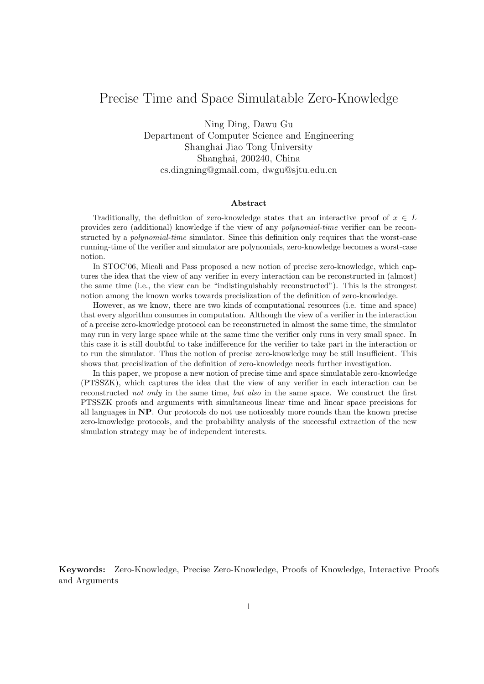# Precise Time and Space Simulatable Zero-Knowledge

Ning Ding, Dawu Gu Department of Computer Science and Engineering Shanghai Jiao Tong University Shanghai, 200240, China cs.dingning@gmail.com, dwgu@sjtu.edu.cn

#### Abstract

Traditionally, the definition of zero-knowledge states that an interactive proof of  $x \in L$ provides zero (additional) knowledge if the view of any polynomial-time verifier can be reconstructed by a *polynomial-time* simulator. Since this definition only requires that the worst-case running-time of the verifier and simulator are polynomials, zero-knowledge becomes a worst-case notion.

In STOC'06, Micali and Pass proposed a new notion of precise zero-knowledge, which captures the idea that the view of any verifier in every interaction can be reconstructed in (almost) the same time (i.e., the view can be "indistinguishably reconstructed"). This is the strongest notion among the known works towards precislization of the definition of zero-knowledge.

However, as we know, there are two kinds of computational resources (i.e. time and space) that every algorithm consumes in computation. Although the view of a verifier in the interaction of a precise zero-knowledge protocol can be reconstructed in almost the same time, the simulator may run in very large space while at the same time the verifier only runs in very small space. In this case it is still doubtful to take indifference for the verifier to take part in the interaction or to run the simulator. Thus the notion of precise zero-knowledge may be still insufficient. This shows that precislization of the definition of zero-knowledge needs further investigation.

In this paper, we propose a new notion of precise time and space simulatable zero-knowledge (PTSSZK), which captures the idea that the view of any verifier in each interaction can be reconstructed not only in the same time, but also in the same space. We construct the first PTSSZK proofs and arguments with simultaneous linear time and linear space precisions for all languages in NP. Our protocols do not use noticeably more rounds than the known precise zero-knowledge protocols, and the probability analysis of the successful extraction of the new simulation strategy may be of independent interests.

Keywords: Zero-Knowledge, Precise Zero-Knowledge, Proofs of Knowledge, Interactive Proofs and Arguments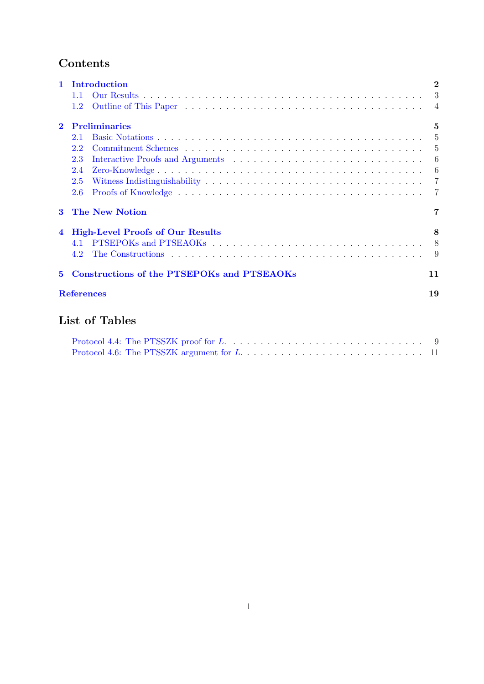# Contents

| $\mathbf{1}$      | <b>Introduction</b><br>1.1<br>1.2                                                                                                                                                                                                    | $\bf{2}$<br>3<br>-4 |  |  |  |  |  |  |  |  |  |  |
|-------------------|--------------------------------------------------------------------------------------------------------------------------------------------------------------------------------------------------------------------------------------|---------------------|--|--|--|--|--|--|--|--|--|--|
| $\bf{2}$          | <b>Preliminaries</b>                                                                                                                                                                                                                 | 5                   |  |  |  |  |  |  |  |  |  |  |
|                   | 2.1                                                                                                                                                                                                                                  | 5                   |  |  |  |  |  |  |  |  |  |  |
|                   | 2.2                                                                                                                                                                                                                                  | $\frac{5}{2}$       |  |  |  |  |  |  |  |  |  |  |
|                   | Interactive Proofs and Arguments (a) and the context of the state of the state of the state of the state of the state of the state of the state of the state of the state of the state of the state of the state of the state<br>2.3 | 6                   |  |  |  |  |  |  |  |  |  |  |
|                   | 2.4                                                                                                                                                                                                                                  | 6                   |  |  |  |  |  |  |  |  |  |  |
|                   | 2.5                                                                                                                                                                                                                                  | 7                   |  |  |  |  |  |  |  |  |  |  |
|                   | 2.6                                                                                                                                                                                                                                  |                     |  |  |  |  |  |  |  |  |  |  |
| 3                 | <b>The New Notion</b>                                                                                                                                                                                                                | 7                   |  |  |  |  |  |  |  |  |  |  |
| $\overline{4}$    | <b>High-Level Proofs of Our Results</b>                                                                                                                                                                                              | 8                   |  |  |  |  |  |  |  |  |  |  |
|                   | 4.1                                                                                                                                                                                                                                  | 8                   |  |  |  |  |  |  |  |  |  |  |
|                   | 4.2                                                                                                                                                                                                                                  | -9                  |  |  |  |  |  |  |  |  |  |  |
| 5.                | <b>Constructions of the PTSEPOKs and PTSEAOKs</b>                                                                                                                                                                                    |                     |  |  |  |  |  |  |  |  |  |  |
| <b>References</b> |                                                                                                                                                                                                                                      |                     |  |  |  |  |  |  |  |  |  |  |
|                   |                                                                                                                                                                                                                                      |                     |  |  |  |  |  |  |  |  |  |  |

# [List of Tables](#page-11-0)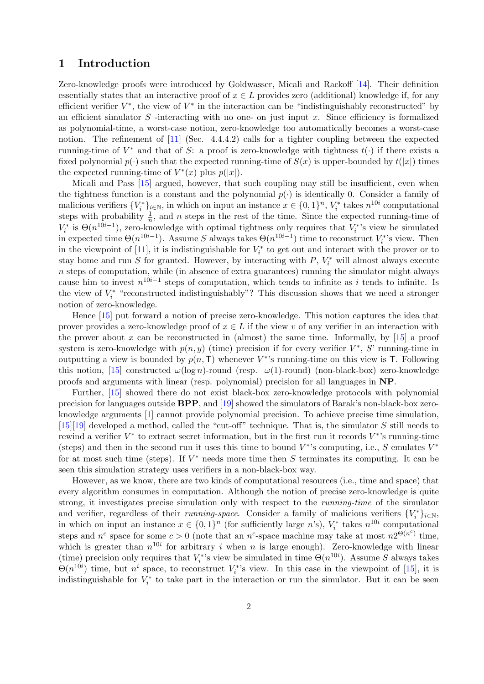## <span id="page-2-0"></span>1 Introduction

Zero-knowledge proofs were introduced by Goldwasser, Micali and Rackoff [14]. Their definition essentially states that an interactive proof of  $x \in L$  provides zero (additional) knowledge if, for any efficient verifier  $V^*$ , the view of  $V^*$  in the interaction can be "indistinguishably reconstructed" by an efficient simulator  $S$ -interacting with no one- on just input x. Since efficiency is formalized as polynomial-time, a worst-case notion, zero-knowledge too automatically [bec](#page-20-0)omes a worst-case notion. The refinement of [11] (Sec. 4.4.4.2) calls for a tighter coupling between the expected running-time of  $V^*$  and that of S: a proof is zero-knowledge with tightness  $t(\cdot)$  if there exists a fixed polynomial  $p(\cdot)$  such that the expected running-time of  $S(x)$  is upper-bounded by  $t(|x|)$  times the expected running-time of  $V^*(x)$  plus  $p(|x|)$ .

Micali and Pass [15] arg[ued](#page-20-0), however, that such coupling may still be insufficient, even when the tightness function is a constant and the polynomial  $p(\cdot)$  is identically 0. Consider a family of malicious verifiers  ${V_i^*}_{i \in \mathbb{N}}$ , in which on input an instance  $x \in \{0,1\}^n$ ,  $V_i^*$  takes  $n^{10i}$  computational steps with probability  $\frac{1}{n}$ , and n steps in the rest of the time. Since the expected running-time of  $V_i^*$  is  $\Theta(n^{10i-1})$ , zer[o-kn](#page-20-0)owledge with optimal tightness only requires that  $V_i^*$ 's view be simulated in expected time  $\Theta(n^{10i-1})$ . Assume S always takes  $\Theta(n^{10i-1})$  time to reconstruct  $V_i^*$ 's view. Then in the viewpoint of [11], it is indistinguishable for  $V_i^*$  to get out and interact with the prover or to stay home and run S for granted. However, by interacting with  $P, V_i^*$  will almost always execute n steps of computation, while (in absence of extra guarantees) running the simulator might always cause him to invest  $n^{10i-1}$  steps of computation, which tends to infinite as i tends to infinite. Is the view of  $V_i^*$  "rec[ons](#page-20-0)tructed indistinguishably"? This discussion shows that we need a stronger notion of zero-knowledge.

Hence [15] put forward a notion of precise zero-knowledge. This notion captures the idea that prover provides a zero-knowledge proof of  $x \in L$  if the view v of any verifier in an interaction with the prover about  $x$  can be reconstructed in (almost) the same time. Informally, by  $[15]$  a proof system is zero-knowledge with  $p(n, y)$  (time) precision if for every verifier  $V^*$ , S' running-time in outputting [a v](#page-20-0)iew is bounded by  $p(n, T)$  whenever  $V^*$ 's running-time on this view is T. Following this notion, [15] constructed  $\omega(\log n)$ -round (resp.  $\omega(1)$ -round) (non-black-box) zer[o-kn](#page-20-0)owledge proofs and arguments with linear (resp. polynomial) precision for all languages in NP.

Further, [15] showed there do not exist black-box zero-knowledge protocols with polynomial precision for languages outside BPP, and [19] showed the simulators of Barak's non-black-box zeroknowledge ar[gum](#page-20-0)ents [1] cannot provide polynomial precision. To achieve precise time simulation, [15][19] developed a method, called the "cut-off" technique. That is, the simulator S still needs to rewind a veri[fier](#page-20-0)  $V^*$  to extract secret information, but in the first run it records  $V^*$ 's running-time (steps) and then in the second run it uses [thi](#page-20-0)s time to bound  $V^*$ 's computing, i.e., S emulates  $V^*$ for at most such time [\(s](#page-19-0)teps). If  $V^*$  needs more time then S terminates its computing. It can be [seen th](#page-20-0)is simulation strategy uses verifiers in a non-black-box way.

However, as we know, there are two kinds of computational resources (i.e., time and space) that every algorithm consumes in computation. Although the notion of precise zero-knowledge is quite strong, it investigates precise simulation only with respect to the running-time of the simulator and verifier, regardless of their *running-space*. Consider a family of malicious verifiers  $\{V_i^*\}_{i\in\mathbb{N}},$ in which on input an instance  $x \in \{0,1\}^n$  (for sufficiently large n's),  $V_i^*$  takes  $n^{10i}$  computational steps and  $n^c$  space for some  $c > 0$  (note that an n<sup>c</sup>-space machine may take at most  $n2^{\hat{\Theta}(n^c)}$  time, which is greater than  $n^{10i}$  for arbitrary i when n is large enough). Zero-knowledge with linear (time) precision only requires that  $V_i^*$ 's view be simulated in time  $\Theta(n^{10i})$ . Assume S always takes  $\Theta(n^{10i})$  time, but  $n^i$  space, to reconstruct  $V_i^*$ 's view. In this case in the viewpoint of [15], it is indistinguishable for  $V_i^*$  to take part in the interaction or run the simulator. But it can be seen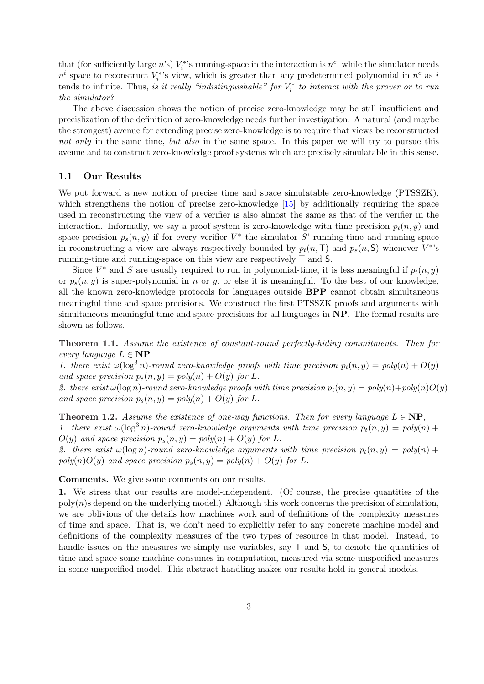<span id="page-3-0"></span>that (for sufficiently large n's)  $V_i^*$ 's running-space in the interaction is  $n^c$ , while the simulator needs  $n^i$  space to reconstruct  $V_i^*$ 's view, which is greater than any predetermined polynomial in  $n^c$  as i tends to infinite. Thus, is it really "indistinguishable" for  $V_i^*$  to interact with the prover or to run the simulator?

The above discussion shows the notion of precise zero-knowledge may be still insufficient and precislization of the definition of zero-knowledge needs further investigation. A natural (and maybe the strongest) avenue for extending precise zero-knowledge is to require that views be reconstructed not only in the same time, but also in the same space. In this paper we will try to pursue this avenue and to construct zero-knowledge proof systems which are precisely simulatable in this sense.

#### 1.1 Our Results

We put forward a new notion of precise time and space simulatable zero-knowledge (PTSSZK), which strengthens the notion of precise zero-knowledge [15] by additionally requiring the space used in reconstructing the view of a verifier is also almost the same as that of the verifier in the interaction. Informally, we say a proof system is zero-knowledge with time precision  $p_t(n, y)$  and space precision  $p_s(n, y)$  if for every verifier  $V^*$  the simulator S' running-time and running-space in reconstructing a view are always respectively bounded [by](#page-20-0)  $p_t(n, T)$  and  $p_s(n, S)$  whenever  $V^*$ 's running-time and running-space on this view are respectively T and S.

Since  $V^*$  and S are usually required to run in polynomial-time, it is less meaningful if  $p_t(n, y)$ or  $p_s(n, y)$  is super-polynomial in n or y, or else it is meaningful. To the best of our knowledge, all the known zero-knowledge protocols for languages outside BPP cannot obtain simultaneous meaningful time and space precisions. We construct the first PTSSZK proofs and arguments with simultaneous meaningful time and space precisions for all languages in NP. The formal results are shown as follows.

Theorem 1.1. Assume the existence of constant-round perfectly-hiding commitments. Then for every language  $L \in \mathbf{NP}$ 

1. there exist  $\omega(\log^3 n)$ -round zero-knowledge proofs with time precision  $p_t(n, y) = poly(n) + O(y)$ and space precision  $p_s(n, y) = poly(n) + O(y)$  for L.

2. there exist  $\omega(\log n)$ -round zero-knowledge proofs with time precision  $p_t(n, y) = poly(n) + poly(n)O(y)$ and space precision  $p_s(n, y) = poly(n) + O(y)$  for L.

**Theorem 1.2.** Assume the existence of one-way functions. Then for every language  $L \in \mathbb{NP}$ . 1. there exist  $\omega(\log^3 n)$ -round zero-knowledge arguments with time precision  $p_t(n, y) = poly(n) +$  $O(y)$  and space precision  $p_s(n, y) = poly(n) + O(y)$  for L.

2. there exist  $\omega(\log n)$ -round zero-knowledge arguments with time precision  $p_t(n, y) = poly(n) +$  $poly(n)O(y)$  and space precision  $p_s(n, y) = poly(n) + O(y)$  for L.

Comments. We give some comments on our results.

1. We stress that our results are model-independent. (Of course, the precise quantities of the  $poly(n)$ s depend on the underlying model.) Although this work concerns the precision of simulation, we are oblivious of the details how machines work and of definitions of the complexity measures of time and space. That is, we don't need to explicitly refer to any concrete machine model and definitions of the complexity measures of the two types of resource in that model. Instead, to handle issues on the measures we simply use variables, say  $T$  and  $S$ , to denote the quantities of time and space some machine consumes in computation, measured via some unspecified measures in some unspecified model. This abstract handling makes our results hold in general models.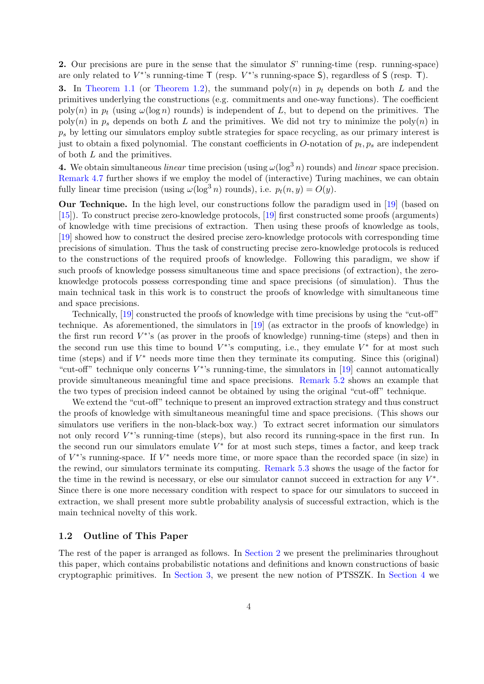<span id="page-4-0"></span>2. Our precisions are pure in the sense that the simulator  $S'$  running-time (resp. running-space) are only related to  $V^*$ 's running-time  $\mathsf T$  (resp.  $V^*$ 's running-space S), regardless of S (resp.  $\mathsf T$ ).

3. In Theorem 1.1 (or Theorem 1.2), the summand  $poly(n)$  in  $p_t$  depends on both L and the primitives underlying the constructions (e.g. commitments and one-way functions). The coefficient poly(n) in  $p_t$  (using  $\omega(\log n)$  rounds) is independent of L, but to depend on the primitives. The poly(n) in  $p_s$  depends on both L and the primitives. We did not try to minimize the poly(n) in  $p<sub>s</sub>$  by l[etting our sim](#page-3-0)ula[tors employ su](#page-3-0)btle strategies for space recycling, as our primary interest is just to obtain a fixed polynomial. The constant coefficients in  $O$ -notation of  $p_t, p_s$  are independent of both L and the primitives.

4. We obtain simultaneous *linear* time precision (using  $\omega(\log^3 n)$  rounds) and *linear* space precision. Remark 4.7 further shows if we employ the model of (interactive) Turing machines, we can obtain fully linear time precision (using  $\omega(\log^3 n)$  rounds), i.e.  $p_t(n, y) = O(y)$ .

Our Technique. In the high level, our constructions follow the paradigm used in [19] (based on [\[15\]\). To con](#page-10-0)struct precise zero-knowledge protocols, [19] first constructed some proofs (arguments) of knowledge with time precisions of extraction. Then using these proofs of knowledge as tools, [19] showed how to construct the desired precise zero-knowledge protocols with corresponding time precisions of simulation. Thus the task of constructing precise zero-knowledge proto[cols](#page-20-0) is reduced [to t](#page-20-0)he constructions of the required proofs of kno[wled](#page-20-0)ge. Following this paradigm, we show if such proofs of knowledge possess simultaneous time and space precisions (of extraction), the zero[kno](#page-20-0)wledge protocols possess corresponding time and space precisions (of simulation). Thus the main technical task in this work is to construct the proofs of knowledge with simultaneous time and space precisions.

Technically, [19] constructed the proofs of knowledge with time precisions by using the "cut-off" technique. As aforementioned, the simulators in [19] (as extractor in the proofs of knowledge) in the first run record  $V^*$ 's (as prover in the proofs of knowledge) running-time (steps) and then in the second run use this time to bound  $V^*$ 's computing, i.e., they emulate  $V^*$  for at most such time (steps) an[d if](#page-20-0)  $V^*$  needs more time then they terminate its computing. Since this (original) "cut-off" technique only concerns  $V^*$ 's running-ti[me](#page-20-0), the simulators in [19] cannot automatically provide simultaneous meaningful time and space precisions. Remark 5.2 shows an example that the two types of precision indeed cannot be obtained by using the original "cut-off" technique.

We extend the "cut-off" technique to present an improved extraction strategy and thus construct the proofs of knowledge with simultaneous meaningful time and space p[reci](#page-20-0)sions. (This shows our simulators use verifiers in the non-black-box way.) To extra[ct secret info](#page-12-0)rmation our simulators not only record  $V^*$ 's running-time (steps), but also record its running-space in the first run. In the second run our simulators emulate  $V^*$  for at most such steps, times a factor, and keep track of  $V^*$ 's running-space. If  $V^*$  needs more time, or more space than the recorded space (in size) in the rewind, our simulators terminate its computing. Remark 5.3 shows the usage of the factor for the time in the rewind is necessary, or else our simulator cannot succeed in extraction for any  $V^*$ . Since there is one more necessary condition with respect to space for our simulators to succeed in extraction, we shall present more subtle probability [analysis of s](#page-13-0)uccessful extraction, which is the main technical novelty of this work.

#### 1.2 Outline of This Paper

The rest of the paper is arranged as follows. In Section 2 we present the preliminaries throughout this paper, which contains probabilistic notations and definitions and known constructions of basic cryptographic primitives. In Section 3, we present the new notion of PTSSZK. In Section 4 we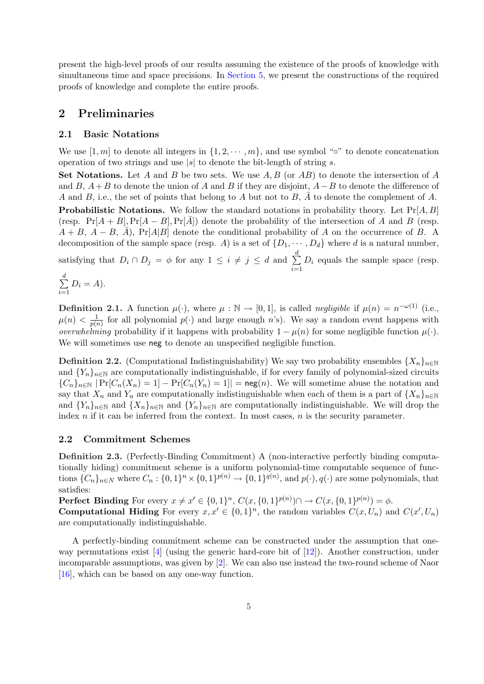<span id="page-5-0"></span>present the high-level proofs of our results assuming the existence of the proofs of knowledge with simultaneous time and space precisions. In Section 5, we present the constructions of the required proofs of knowledge and complete the entire proofs.

# 2 Preliminaries

#### 2.1 Basic Notations

We use  $[1, m]$  to denote all integers in  $\{1, 2, \cdots, m\}$ , and use symbol "∘" to denote concatenation operation of two strings and use  $|s|$  to denote the bit-length of string s.

Set Notations. Let A and B be two sets. We use  $A, B$  (or  $AB$ ) to denote the intersection of A and B,  $A+B$  to denote the union of A and B if they are disjoint,  $A-B$  to denote the difference of A and B, i.e., the set of points that belong to A but not to B,  $\bar{A}$  to denote the complement of A. **Probabilistic Notations.** We follow the standard notations in probability theory. Let  $Pr[A, B]$ (resp.  $Pr[A + B], Pr[A - B], Pr[\overline{A}]$ ) denote the probability of the intersection of A and B (resp.  $A + B$ ,  $A - B$ ,  $\overline{A}$ ), Pr[A|B] denote the conditional probability of A on the occurrence of B. A decomposition of the sample space (resp. A) is a set of  $\{D_1, \dots, D_d\}$  where d is a natural number,

satisfying that  $D_i \cap D_j = \phi$  for any  $1 \leq i \neq j \leq d$  and  $\sum^d$  $i=1$  $D_i$  equals the sample space (resp.

$$
\sum_{i=1}^d D_i = A).
$$

**Definition 2.1.** A function  $\mu(\cdot)$ , where  $\mu : \mathbb{N} \to [0,1]$ , is called *negligible* if  $\mu(n) = n^{-\omega(1)}$  (i.e.,  $\mu(n) < \frac{1}{n(n)}$  $\frac{1}{p(n)}$  for all polynomial  $p(\cdot)$  and large enough n's). We say a random event happens with *overwhelming* probability if it happens with probability  $1 - \mu(n)$  for some negligible function  $\mu(\cdot)$ . We will sometimes use neg to denote an unspecified negligible function.

**Definition 2.2.** (Computational Indistinguishability) We say two probability ensembles  $\{X_n\}_{n\in\mathbb{N}}$ and  ${Y_n}_{n\in\mathbb{N}}$  are computationally indistinguishable, if for every family of polynomial-sized circuits  ${C_n}_{n\in\mathbb{N}}$  |  $Pr[C_n(X_n) = 1] - Pr[C_n(Y_n) = 1]$  = neg(n). We will sometime abuse the notation and say that  $X_n$  and  $Y_n$  are computationally indistinguishable when each of them is a part of  $\{X_n\}_{n\in\mathbb{N}}$ and  $\{Y_n\}_{n\in\mathbb{N}}$  and  $\{X_n\}_{n\in\mathbb{N}}$  and  $\{Y_n\}_{n\in\mathbb{N}}$  are computationally indistinguishable. We will drop the index  $n$  if it can be inferred from the context. In most cases,  $n$  is the security parameter.

#### 2.2 Commitment Schemes

Definition 2.3. (Perfectly-Binding Commitment) A (non-interactive perfectly binding computationally hiding) commitment scheme is a uniform polynomial-time computable sequence of functions  $\{C_n\}_{n\in\mathbb{N}}$  where  $C_n: \{0,1\}^n \times \{0,1\}^{p(n)} \to \{0,1\}^{q(n)}$ , and  $p(\cdot), q(\cdot)$  are some polynomials, that satisfies:

**Perfect Binding** For every  $x \neq x' \in \{0,1\}^n$ ,  $C(x,\{0,1\}^{p(n)}) \cap \to C(x,\{0,1\}^{p(n)}) = \phi$ .

**Computational Hiding** For every  $x, x' \in \{0, 1\}^n$ , the random variables  $C(x, U_n)$  and  $C(x', U_n)$ are computationally indistinguishable.

A perfectly-binding commitment scheme can be constructed under the assumption that oneway permutations exist  $[4]$  (using the generic hard-core bit of  $[12]$ ). Another construction, under incomparable assumptions, was given by [2]. We can also use instead the two-round scheme of Naor [16], which can be based on any one-way function.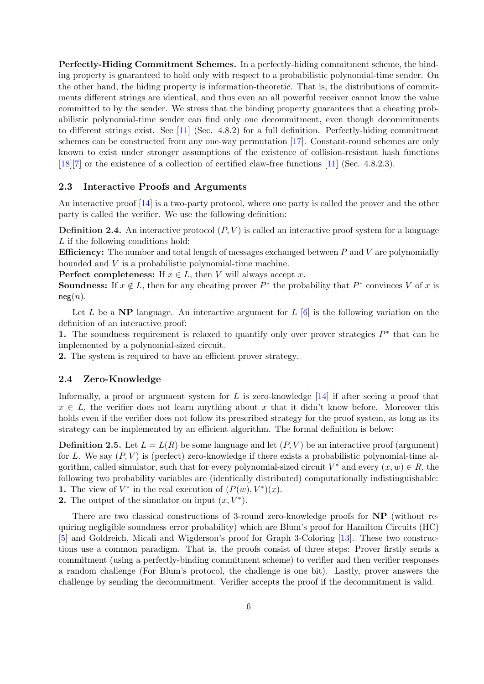<span id="page-6-0"></span>Perfectly-Hiding Commitment Schemes. In a perfectly-hiding commitment scheme, the binding property is guaranteed to hold only with respect to a probabilistic polynomial-time sender. On the other hand, the hiding property is information-theoretic. That is, the distributions of commitments different strings are identical, and thus even an all powerful receiver cannot know the value committed to by the sender. We stress that the binding property guarantees that a cheating probabilistic polynomial-time sender can find only one decommitment, even though decommitments to different strings exist. See [11] (Sec. 4.8.2) for a full definition. Perfectly-hiding commitment schemes can be constructed from any one-way permutation [17]. Constant-round schemes are only known to exist under stronger assumptions of the existence of collision-resistant hash functions [18][7] or the existence of a col[lect](#page-20-0)ion of certified claw-free functions [11] (Sec. 4.8.2.3).

#### 2.3 Interactive Proofs and Arguments

[An](#page-20-0) [in](#page-20-0)teractive proof [14] is a two-party protocol, where one party is c[alle](#page-20-0)d the prover and the other party is called the verifier. We use the following definition:

**Definition 2.4.** An interactive protocol  $(P, V)$  is called an interactive proof system for a language L if the following co[ndit](#page-20-0)ions hold:

**Efficiency:** The number and total length of messages exchanged between  $P$  and  $V$  are polynomially bounded and V is a probabilistic polynomial-time machine.

**Perfect completeness:** If  $x \in L$ , then V will always accept x.

**Soundness:** If  $x \notin L$ , then for any cheating prover  $P^*$  the probability that  $P^*$  convinces V of x is  $neg(n)$ .

Let L be a NP language. An interactive argument for L  $[6]$  is the following variation on the definition of an interactive proof:

1. The soundness requirement is relaxed to quantify only over prover strategies  $P^*$  that can be implemented by a polynomial-sized circuit.

2. The system is required to have an efficient prover strategy.

#### 2.4 Zero-Knowledge

Informally, a proof or argument system for  $L$  is zero-knowledge [14] if after seeing a proof that  $x \in L$ , the verifier does not learn anything about x that it didn't know before. Moreover this holds even if the verifier does not follow its prescribed strategy for the proof system, as long as its strategy can be implemented by an efficient algorithm. The forma[l de](#page-20-0)finition is below:

**Definition 2.5.** Let  $L = L(R)$  be some language and let  $(P, V)$  be an interactive proof (argument) for L. We say  $(P, V)$  is (perfect) zero-knowledge if there exists a probabilistic polynomial-time algorithm, called simulator, such that for every polynomial-sized circuit  $V^*$  and every  $(x, w) \in R$ , the following two probability variables are (identically distributed) computationally indistinguishable: **1.** The view of  $V^*$  in the real execution of  $(P(w), V^*)(x)$ .

**2.** The output of the simulator on input  $(x, V^*)$ .

There are two classical constructions of 3-round zero-knowledge proofs for NP (without requiring negligible soundness error probability) which are Blum's proof for Hamilton Circuits (HC) [5] and Goldreich, Micali and Wigderson's proof for Graph 3-Coloring [13]. These two constructions use a common paradigm. That is, the proofs consist of three steps: Prover firstly sends a commitment (using a perfectly-binding commitment scheme) to verifier and then verifier responses a random challenge (For Blum's protocol, the challenge is one bit). Lastly, prover answers the [ch](#page-20-0)allenge by sending the decommitment. Verifier accepts the proof if th[e de](#page-20-0)commitment is valid.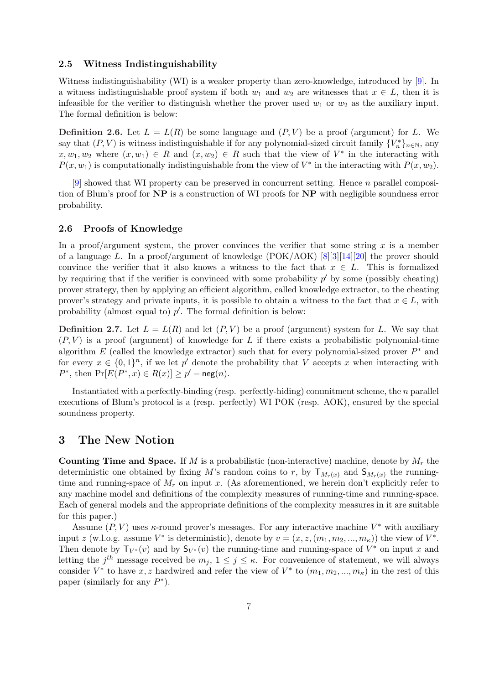#### <span id="page-7-0"></span>2.5 Witness Indistinguishability

Witness indistinguishability (WI) is a weaker property than zero-knowledge, introduced by [9]. In a witness indistinguishable proof system if both  $w_1$  and  $w_2$  are witnesses that  $x \in L$ , then it is infeasible for the verifier to distinguish whether the prover used  $w_1$  or  $w_2$  as the auxiliary input. The formal definition is below:

**Definition 2.6.** Let  $L = L(R)$  be some language and  $(P, V)$  be a proof (argument) for L. We say that  $(P, V)$  is witness indistinguishable if for any polynomial-sized circuit family  $\{V_n^*\}_{n\in\mathbb{N}}$ , any  $x, w_1, w_2$  where  $(x, w_1) \in R$  and  $(x, w_2) \in R$  such that the view of  $V^*$  in the interacting with  $P(x, w_1)$  is computationally indistinguishable from the view of  $V^*$  in the interacting with  $P(x, w_2)$ .

[9] showed that WI property can be preserved in concurrent setting. Hence n parallel composition of Blum's proof for  $NP$  is a construction of WI proofs for  $NP$  with negligible soundness error probability.

#### 2.6 Proofs of Knowledge

In a proof/argument system, the prover convinces the verifier that some string  $x$  is a member of a language L. In a proof/argument of knowledge (POK/AOK) [8][3][14][20] the prover should convince the verifier that it also knows a witness to the fact that  $x \in L$ . This is formalized by requiring that if the verifier is convinced with some probability  $p'$  by some (possibly cheating) prover strategy, then by applying an efficient algorithm, called knowledge extractor, to the cheating prover's strategy and private inputs, it is possible to obtain a witne[ss to the fac](#page-20-0)t that  $x \in L$ , with probability (almost equal to)  $p'$ . The formal definition is below:

**Definition 2.7.** Let  $L = L(R)$  and let  $(P, V)$  be a proof (argument) system for L. We say that  $(P, V)$  is a proof (argument) of knowledge for L if there exists a probabilistic polynomial-time algorithm  $E$  (called the knowledge extractor) such that for every polynomial-sized prover  $P^*$  and for every  $x \in \{0,1\}^n$ , if we let p' denote the probability that V accepts x when interacting with  $P^*$ , then  $Pr[E(P^*, x) \in R(x)] \ge p' - neg(n)$ .

Instantiated with a perfectly-binding (resp. perfectly-hiding) commitment scheme, the n parallel executions of Blum's protocol is a (resp. perfectly) WI POK (resp. AOK), ensured by the special soundness property.

### 3 The New Notion

**Counting Time and Space.** If M is a probabilistic (non-interactive) machine, denote by  $M_r$  the deterministic one obtained by fixing M's random coins to r, by  $\mathsf{T}_{M_r(x)}$  and  $\mathsf{S}_{M_r(x)}$  the runningtime and running-space of  $M_r$  on input x. (As aforementioned, we herein don't explicitly refer to any machine model and definitions of the complexity measures of running-time and running-space. Each of general models and the appropriate definitions of the complexity measures in it are suitable for this paper.)

Assume  $(P, V)$  uses  $\kappa$ -round prover's messages. For any interactive machine  $V^*$  with auxiliary input z (w.l.o.g. assume  $V^*$  is deterministic), denote by  $v = (x, z, (m_1, m_2, ..., m_\kappa))$  the view of  $V^*$ . Then denote by  $\mathsf{T}_{V^*}(v)$  and by  $\mathsf{S}_{V^*}(v)$  the running-time and running-space of  $V^*$  on input x and letting the  $j<sup>th</sup>$  message received be  $m_j$ ,  $1 \leq j \leq \kappa$ . For convenience of statement, we will always consider  $V^*$  to have x, z hardwired and refer the view of  $V^*$  to  $(m_1, m_2, ..., m_\kappa)$  in the rest of this paper (similarly for any  $P^*$ ).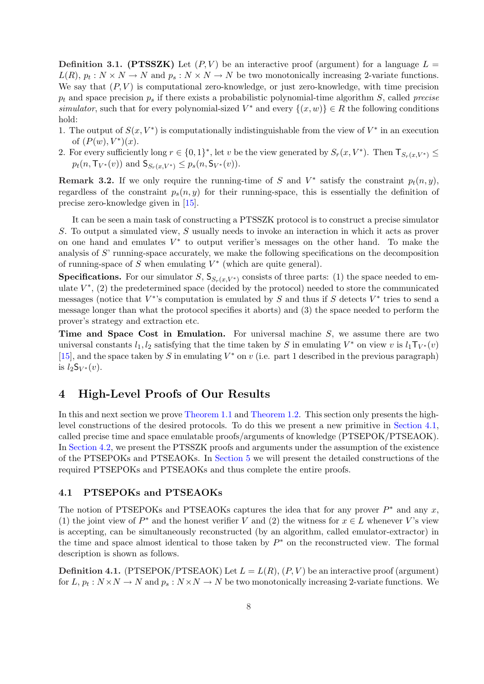<span id="page-8-0"></span>**Definition 3.1. (PTSSZK)** Let  $(P, V)$  be an interactive proof (argument) for a language  $L =$  $L(R)$ ,  $p_t : N \times N \to N$  and  $p_s : N \times N \to N$  be two monotonically increasing 2-variate functions. We say that  $(P, V)$  is computational zero-knowledge, or just zero-knowledge, with time precision  $p_t$  and space precision  $p_s$  if there exists a probabilistic polynomial-time algorithm S, called precise simulator, such that for every polynomial-sized  $V^*$  and every  $\{(x, w)\}\in R$  the following conditions hold:

- 1. The output of  $S(x, V^*)$  is computationally indistinguishable from the view of  $V^*$  in an execution of  $(P(w), V^*)(x)$ .
- 2. For every sufficiently long  $r \in \{0,1\}^*$ , let v be the view generated by  $S_r(x, V^*)$ . Then  $\mathsf{T}_{S_r(x, V^*)} \leq$  $p_t(n, \mathsf{T}_{V^*}(v))$  and  $\mathsf{S}_{S_r(x, V^*)} \leq p_s(n, \mathsf{S}_{V^*}(v)).$

**Remark 3.2.** If we only require the running-time of S and  $V^*$  satisfy the constraint  $p_t(n, y)$ , regardless of the constraint  $p_s(n, y)$  for their running-space, this is essentially the definition of precise zero-knowledge given in [15].

It can be seen a main task of constructing a PTSSZK protocol is to construct a precise simulator S. To output a simulated view, S usually needs to invoke an interaction in which it acts as prover on one hand and emulates  $V^*$  [to](#page-20-0) output verifier's messages on the other hand. To make the analysis of S' running-space accurately, we make the following specifications on the decomposition of running-space of  $S$  when emulating  $V^*$  (which are quite general).

**Specifications.** For our simulator S,  $S_{S_r(x,V^*)}$  consists of three parts: (1) the space needed to emulate  $V^*$ , (2) the predetermined space (decided by the protocol) needed to store the communicated messages (notice that  $V^*$ 's computation is emulated by S and thus if S detects  $V^*$  tries to send a message longer than what the protocol specifies it aborts) and (3) the space needed to perform the prover's strategy and extraction etc.

**Time and Space Cost in Emulation.** For universal machine  $S$ , we assume there are two universal constants  $l_1, l_2$  satisfying that the time taken by S in emulating  $V^*$  on view v is  $l_1 \mathsf{T}_{V^*}(v)$ [15], and the space taken by S in emulating  $V^*$  on v (i.e. part 1 described in the previous paragraph) is  $l_2S_{V^*}(v)$ .

# [4](#page-20-0) High-Level Proofs of Our Results

In this and next section we prove Theorem 1.1 and Theorem 1.2. This section only presents the highlevel constructions of the desired protocols. To do this we present a new primitive in Section 4.1, called precise time and space emulatable proofs/arguments of knowledge (PTSEPOK/PTSEAOK). In Section 4.2, we present the PTSSZK proofs and arguments under the assumption of the existence of the PTSEPOKs and PTSEA[OKs. In](#page-3-0) Section 5 [we will prese](#page-3-0)nt the detailed constructions of the required PTSEPOKs and PTSEAOKs and thus complete the entire proofs.

#### 4.[1 PTSE](#page-9-0)POKs and PTSEAO[Ks](#page-11-0)

The notion of PTSEPOKs and PTSEAOKs captures the idea that for any prover  $P^*$  and any x, (1) the joint view of  $P^*$  and the honest verifier V and (2) the witness for  $x \in L$  whenever V's view is accepting, can be simultaneously reconstructed (by an algorithm, called emulator-extractor) in the time and space almost identical to those taken by  $P^*$  on the reconstructed view. The formal description is shown as follows.

**Definition 4.1.** (PTSEPOK/PTSEAOK) Let  $L = L(R)$ ,  $(P, V)$  be an interactive proof (argument) for  $L, p_t : N \times N \to N$  and  $p_s : N \times N \to N$  be two monotonically increasing 2-variate functions. We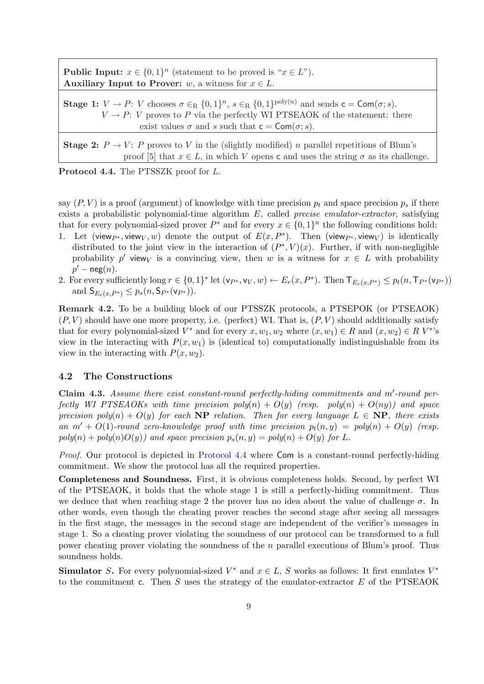<span id="page-9-0"></span>**Public Input:**  $x \in \{0,1\}^n$  (statement to be proved is " $x \in L$ "). Auxiliary Input to Prover: w, a witness for  $x \in L$ .

**Stage 1:**  $V \to P$ :  $V$  chooses  $\sigma \in_R \{0,1\}^n$ ,  $s \in_R \{0,1\}^{\text{poly}(n)}$  and sends  $c = \text{Com}(\sigma; s)$ .  $V \rightarrow P$ : V proves to P via the perfectly WI PTSEAOK of the statement: there exist values  $\sigma$  and s such that  $c = \text{Com}(\sigma; s)$ .

**Stage 2:**  $P \rightarrow V$ : P proves to V in the (slightly modified) n parallel repetitions of Blum's proof [5] that  $x \in L$ , in which V opens c and uses the string  $\sigma$  as its challenge.

Protocol 4.4. The PTSSZK proof for L.

say  $(P, V)$  is a proof (a[rgu](#page-20-0)ment) of knowledge with time precision  $p_t$  and space precision  $p_s$  if there exists a probabilistic polynomial-time algorithm  $E$ , called *precise emulator-extractor*, satisfying that for every polynomial-sized prover  $P^*$  and for every  $x \in \{0,1\}^n$  the following conditions hold:

- 1. Let (view<sub>P\*</sub>, view<sub>V</sub>, w) denote the output of  $E(x, P^*)$ . Then (view<sub>P\*</sub>, view<sub>V</sub>) is identically distributed to the joint view in the interaction of  $(P^*, V)(x)$ . Further, if with non-negligible probability p' view<sub>V</sub> is a convincing view, then w is a witness for  $x \in L$  with probability  $p'$  – neg $(n)$ .
- 2. For every sufficiently long  $r \in \{0,1\}^*$  let  $(\mathsf{v}_{P^*}, \mathsf{v}_V, w) \leftarrow E_r(x, P^*)$ . Then  $\mathsf{T}_{E_r(x, P^*)} \leq p_t(n, \mathsf{T}_{P^*}(\mathsf{v}_{P^*}))$ and  $S_{E_r(x,P^*)} \leq p_s(n, S_{P^*}(v_{P^*})).$

Remark 4.2. To be a building block of our PTSSZK protocols, a PTSEPOK (or PTSEAOK)  $(P, V)$  should have one more property, i.e. (perfect) WI. That is,  $(P, V)$  should additionally satisfy that for every polynomial-sized  $V^*$  and for every  $x, w_1, w_2$  where  $(x, w_1) \in R$  and  $(x, w_2) \in R V^*$ 's view in the interacting with  $P(x, w_1)$  is (identical to) computationally indistinguishable from its view in the interacting with  $P(x, w_2)$ .

#### 4.2 The Constructions

Claim 4.3. Assume there exist constant-round perfectly-hiding commitments and  $m'$ -round perfectly WI PTSEAOKs with time precision  $poly(n) + O(y)$  (resp.  $poly(n) + O(ny)$ ) and space precision poly(n) +  $O(y)$  for each NP relation. Then for every language  $L \in NP$ , there exists an  $m' + O(1)$ -round zero-knowledge proof with time precision  $p_t(n, y) = poly(n) + O(y)$  (resp.  $poly(n) + poly(n)O(y)$  and space precision  $p_s(n, y) = poly(n) + O(y)$  for L.

Proof. Our protocol is depicted in Protocol 4.4 where Com is a constant-round perfectly-hiding commitment. We show the protocol has all the required properties.

Completeness and Soundness. First, it is obvious completeness holds. Second, by perfect WI of the PTSEAOK, it holds that the whole stage 1 is still a perfectly-hiding commitment. Thus we deduce that when reaching stage 2 the prover has no idea about the value of challenge  $\sigma$ . In other words, even though the cheating prover reaches the second stage after seeing all messages in the first stage, the messages in the second stage are independent of the verifier's messages in stage 1. So a cheating prover violating the soundness of our protocol can be transformed to a full power cheating prover violating the soundness of the  $n$  parallel executions of Blum's proof. Thus soundness holds.

**Simulator** S. For every polynomial-sized  $V^*$  and  $x \in L$ , S works as follows: It first emulates  $V^*$ to the commitment c. Then  $S$  uses the strategy of the emulator-extractor  $E$  of the PTSEAOK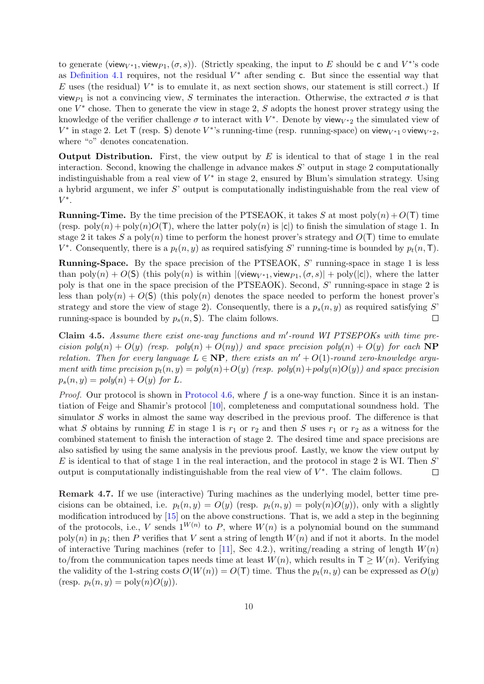<span id="page-10-0"></span>to generate (view<sub>V\*1</sub>, view<sub>P1</sub>,  $(\sigma, s)$ ). (Strictly speaking, the input to E should be c and V<sup>\*</sup>'s code as Definition 4.1 requires, not the residual  $V^*$  after sending c. But since the essential way that E uses (the residual)  $V^*$  is to emulate it, as next section shows, our statement is still correct.) If view<sub>P1</sub> is not a convincing view, S terminates the interaction. Otherwise, the extracted  $\sigma$  is that one  $V^*$  chose. Then to generate the view in stage 2, S adopts the honest prover strategy using the kn[owledge of the](#page-8-0) verifier challenge  $\sigma$  to interact with  $V^*$ . Denote by view<sub>V\*2</sub> the simulated view of  $V^*$  in stage 2. Let T (resp. S) denote  $V^*$ 's running-time (resp. running-space) on view $_{V^*1}$   $\circ$  view $_{V^*2}$ , where "∘" denotes concatenation.

**Output Distribution.** First, the view output by  $E$  is identical to that of stage 1 in the real interaction. Second, knowing the challenge in advance makes  $S'$  output in stage 2 computationally indistinguishable from a real view of  $V^*$  in stage 2, ensured by Blum's simulation strategy. Using a hybrid argument, we infer S' output is computationally indistinguishable from the real view of  $V^*$ .

**Running-Time.** By the time precision of the PTSEAOK, it takes S at most  $poly(n) + O(T)$  time (resp.  $poly(n) + poly(n)O(T)$ , where the latter  $poly(n)$  is  $|c|$ ) to finish the simulation of stage 1. In stage 2 it takes S a poly(n) time to perform the honest prover's strategy and  $O(T)$  time to emulate  $V^*$ . Consequently, there is a  $p_t(n, y)$  as required satisfying S' running-time is bounded by  $p_t(n, T)$ .

**Running-Space.** By the space precision of the PTSEAOK,  $S'$  running-space in stage 1 is less than poly(n) + O(S) (this poly(n) is within  $|(\mathbf{view}_{V^*1}, \mathbf{view}_{P1},(\sigma, s)| + \text{poly}(|c|))$ , where the latter poly is that one in the space precision of the PTSEAOK). Second, S' running-space in stage 2 is less than  $poly(n) + O(5)$  (this  $poly(n)$  denotes the space needed to perform the honest prover's strategy and store the view of stage 2). Consequently, there is a  $p_s(n, y)$  as required satisfying S' running-space is bounded by  $p_s(n, S)$ . The claim follows.  $\Box$ 

Claim 4.5. Assume there exist one-way functions and  $m'$ -round WI PTSEPOKs with time precision poly $(n) + O(y)$  (resp. poly $(n) + O(ny)$ ) and space precision poly $(n) + O(y)$  for each NP relation. Then for every language  $L \in \mathbf{NP}$ , there exists an  $m' + O(1)$ -round zero-knowledge argument with time precision  $p_t(n, y) = poly(n) + O(y)$  (resp.  $poly(n) + poly(n)O(y)$ ) and space precision  $p_s(n, y) = poly(n) + O(y)$  for L.

*Proof.* Our protocol is shown in Protocol 4.6, where f is a one-way function. Since it is an instantiation of Feige and Shamir's protocol [10], completeness and computational soundness hold. The simulator S works in almost the same way described in the previous proof. The difference is that what S obtains by running E in stage 1 is  $r_1$  or  $r_2$  and then S uses  $r_1$  or  $r_2$  as a witness for the combined statement to finish th[e interaction](#page-11-0) of stage 2. The desired time and space precisions are also satisfied by using the same analysi[s in](#page-20-0) the previous proof. Lastly, we know the view output by E is identical to that of stage 1 in the real interaction, and the protocol in stage 2 is WI. Then  $S'$ output is computationally indistinguishable from the real view of  $V^*$ . The claim follows.  $\Box$ 

Remark 4.7. If we use (interactive) Turing machines as the underlying model, better time precisions can be obtained, i.e.  $p_t(n, y) = O(y)$  (resp.  $p_t(n, y) = \text{poly}(n)O(y)$ ), only with a slightly modification introduced by [15] on the above constructions. That is, we add a step in the beginning of the protocols, i.e., V sends  $1^{W(n)}$  to P, where  $W(n)$  is a polynomial bound on the summand  $\text{poly}(n)$  in  $p_t$ ; then P verifies that V sent a string of length  $W(n)$  and if not it aborts. In the model of interactive Turing machines (refer to [11], Sec 4.2.), writing/reading a string of length  $W(n)$ to/from the communication [tap](#page-20-0)es needs time at least  $W(n)$ , which results in  $T \geq W(n)$ . Verifying the validity of the 1-string costs  $O(W(n)) = O(T)$  time. Thus the  $p_t(n, y)$  can be expressed as  $O(y)$ (resp.  $p_t(n, y) = \text{poly}(n)O(y)$ ).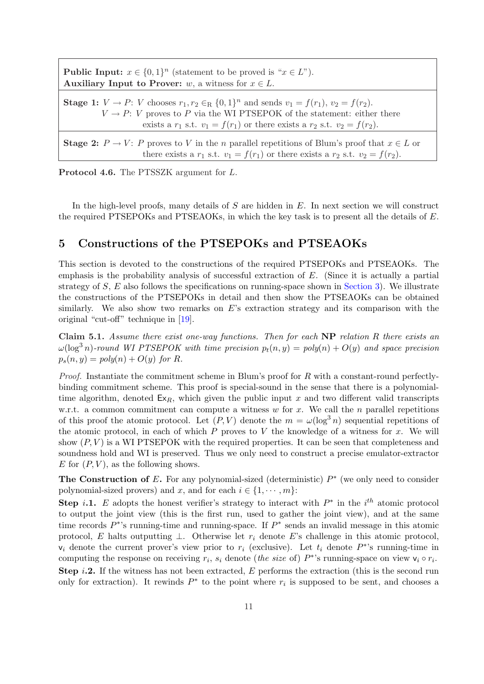<span id="page-11-0"></span>**Public Input:**  $x \in \{0,1\}^n$  (statement to be proved is " $x \in L$ "). Auxiliary Input to Prover: w, a witness for  $x \in L$ .

**Stage 1:**  $V \to P$ :  $V$  chooses  $r_1, r_2 \in_R \{0, 1\}^n$  and sends  $v_1 = f(r_1), v_2 = f(r_2)$ .  $V \rightarrow P$ : V proves to P via the WI PTSEPOK of the statement: either there exists a  $r_1$  s.t.  $v_1 = f(r_1)$  or there exists a  $r_2$  s.t.  $v_2 = f(r_2)$ .

**Stage 2:**  $P \rightarrow V$ : P proves to V in the n parallel repetitions of Blum's proof that  $x \in L$  or there exists a  $r_1$  s.t.  $v_1 = f(r_1)$  or there exists a  $r_2$  s.t.  $v_2 = f(r_2)$ .

Protocol 4.6. The PTSSZK argument for L.

In the high-level proofs, many details of  $S$  are hidden in  $E$ . In next section we will construct the required PTSEPOKs and PTSEAOKs, in which the key task is to present all the details of E.

# 5 Constructions of the PTSEPOKs and PTSEAOKs

This section is devoted to the constructions of the required PTSEPOKs and PTSEAOKs. The emphasis is the probability analysis of successful extraction of E. (Since it is actually a partial strategy of  $S$ ,  $E$  also follows the specifications on running-space shown in Section 3). We illustrate the constructions of the PTSEPOKs in detail and then show the PTSEAOKs can be obtained similarly. We also show two remarks on  $E$ 's extraction strategy and its comparison with the original "cut-off" technique in [19].

Claim 5.1. Assume there exist one-way functions. Then for each  $NP$  relation R there exists an  $\omega(\log^3 n)$ -round WI PTSEPOK with time precision  $p_t(n, y) = poly(n) + O(y)$  and space precision  $p_s(n, y) = poly(n) + O(y)$  for R[.](#page-20-0)

*Proof.* Instantiate the commitment scheme in Blum's proof for R with a constant-round perfectlybinding commitment scheme. This proof is special-sound in the sense that there is a polynomialtime algorithm, denoted  $E_{R}$ , which given the public input x and two different valid transcripts w.r.t. a common commitment can compute a witness  $w$  for  $x$ . We call the  $n$  parallel repetitions of this proof the atomic protocol. Let  $(P, V)$  denote the  $m = \omega(\log^3 n)$  sequential repetitions of the atomic protocol, in each of which  $P$  proves to  $V$  the knowledge of a witness for  $x$ . We will show  $(P, V)$  is a WI PTSEPOK with the required properties. It can be seen that completeness and soundness hold and WI is preserved. Thus we only need to construct a precise emulator-extractor  $E$  for  $(P, V)$ , as the following shows.

The Construction of E. For any polynomial-sized (deterministic)  $P^*$  (we only need to consider polynomial-sized provers) and x, and for each  $i \in \{1, \dots, m\}$ :

**Step i.1.** E adopts the honest verifier's strategy to interact with  $P^*$  in the i<sup>th</sup> atomic protocol to output the joint view (this is the first run, used to gather the joint view), and at the same time records  $P^*$ 's running-time and running-space. If  $P^*$  sends an invalid message in this atomic protocol, E halts outputting  $\perp$ . Otherwise let  $r_i$  denote E's challenge in this atomic protocol,  $v_i$  denote the current prover's view prior to  $r_i$  (exclusive). Let  $t_i$  denote  $P^*$ 's running-time in computing the response on receiving  $r_i$ ,  $s_i$  denote (the size of)  $P^*$ 's running-space on view  $v_i \circ r_i$ .

**Step i.2.** If the witness has not been extracted,  $E$  performs the extraction (this is the second run only for extraction). It rewinds  $P^*$  to the point where  $r_i$  is supposed to be sent, and chooses a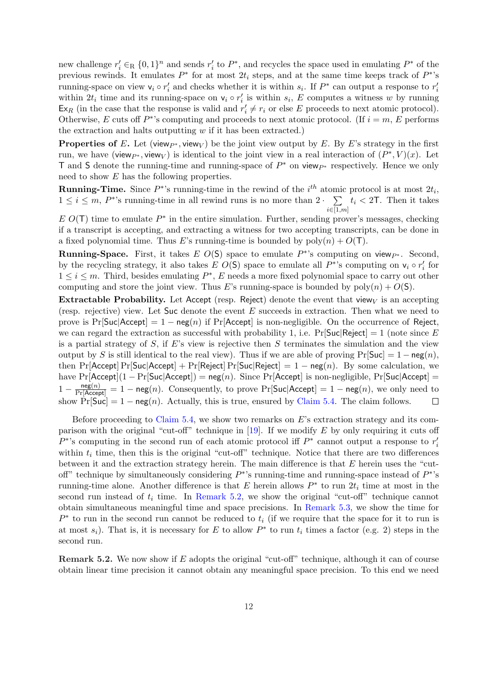<span id="page-12-0"></span>new challenge  $r_i' \in_R \{0,1\}^n$  and sends  $r_i'$  to  $P^*$ , and recycles the space used in emulating  $P^*$  of the previous rewinds. It emulates  $P^*$  for at most  $2t_i$  steps, and at the same time keeps track of  $P^*$ 's running-space on view  $v_i \circ r'_i$  and checks whether it is within  $s_i$ . If  $P^*$  can output a response to  $r'_i$ within  $2t_i$  time and its running-space on  $v_i \circ r'_i$  is within  $s_i$ , E computes a witness w by running  $\mathsf{Ex}_R$  (in the case that the response is valid and  $r'_i \neq r_i$  or else E proceeds to next atomic protocol). Otherwise, E cuts off  $P^*$ 's computing and proceeds to next atomic protocol. (If  $i = m$ , E performs the extraction and halts outputting  $w$  if it has been extracted.)

**Properties of E.** Let (view<sub>P<sup>∗</sup></sub>, view<sub>V</sub>) be the joint view output by E. By E's strategy in the first run, we have (view<sub>P<sup>∗</sup></sub>, view<sub>V</sub>) is identical to the joint view in a real interaction of  $(P^*, V)(x)$ . Let T and S denote the running-time and running-space of  $P^*$  on view<sub>P<sup>∗</sup></sub> respectively. Hence we only need to show E has the following properties.

**Running-Time.** Since  $P^*$ 's running-time in the rewind of the  $i^{th}$  atomic protocol is at most  $2t_i$ ,  $1 \leq i \leq m$ ,  $P^{**}$ 's running-time in all rewind runs is no more than  $2 \cdot \sum t_i < 2T$ . Then it takes  $i \in [1,m]$ 

 $E O(T)$  time to emulate  $P^*$  in the entire simulation. Further, sending prover's messages, checking if a transcript is accepting, and extracting a witness for two accepting transcripts, can be done in a fixed polynomial time. Thus E's running-time is bounded by  $poly(n) + O(T)$ .

**Running-Space.** First, it takes  $E O(S)$  space to emulate  $P^*$ 's computing on view<sub> $P^*$ </sub>. Second, by the recycling strategy, it also takes  $E O(S)$  space to emulate all  $P^*$ 's computing on  $v_i \circ r'_i$  for  $1 \leq i \leq m$ . Third, besides emulating  $P^*$ , E needs a more fixed polynomial space to carry out other computing and store the joint view. Thus E's running-space is bounded by  $poly(n) + O(5)$ .

**Extractable Probability.** Let Accept (resp. Reject) denote the event that view is an accepting (resp. rejective) view. Let Suc denote the event  $E$  succeeds in extraction. Then what we need to prove is  $Pr[Suc|Accept] = 1 - neg(n)$  if  $Pr[Accept]$  is non-negligible. On the occurrence of Reject, we can regard the extraction as successful with probability 1, i.e.  $Pr[\text{Suc}|\text{Reject}] = 1$  (note since E) is a partial strategy of  $S$ , if  $E$ 's view is rejective then  $S$  terminates the simulation and the view output by S is still identical to the real view). Thus if we are able of proving  $Pr[Suc] = 1 - neg(n)$ , then Pr[Accept] Pr[Suc|Accept] + Pr[Reject] Pr[Suc|Reject] =  $1 - neg(n)$ . By some calculation, we have  $Pr[Accept](1 - Pr[Such(\text{Accept}]) = neg(n)$ . Since  $Pr[Accept]$  is non-negligible,  $Pr[Such(\text{Accept}]) =$  $1-\frac{\text{neg}(n)}{\text{Pr}[\text{Accept}]}=1-\text{neg}(n)$ . Consequently, to prove  $\text{Pr}[\text{Suc}|\text{Accept}]=1-\text{neg}(n)$ , we only need to show  $Pr[Suc] = 1 - neg(n)$ . Actually, this is true, ensured by Claim 5.4. The claim follows.  $\Box$ 

Before proceeding to Claim 5.4, we show two remarks on  $E$ 's extraction strategy and its comparison with the original "cut-off" technique in  $[19]$ . If we modify E by only requiring it cuts off  $P^*$ 's computing in the second run of each atomic protocol iff  $P^*$  [canno](#page-13-0)t output a response to  $r'_i$ within  $t_i$  time, then this is the original "cut-off" technique. Notice that there are two differences between it and the extra[ction strat](#page-13-0)egy herein. The main difference is that  $E$  herein uses the "cutoff" technique by simultaneously considering  $P^*$ '[s ru](#page-20-0)nning-time and running-space instead of  $P^*$ 's running-time alone. Another difference is that E herein allows  $P^*$  to run  $2t_i$  time at most in the second run instead of  $t_i$  time. In Remark 5.2, we show the original "cut-off" technique cannot obtain simultaneous meaningful time and space precisions. In Remark 5.3, we show the time for  $P^*$  to run in the second run cannot be reduced to  $t_i$  (if we require that the space for it to run is at most  $s_i$ ). That is, it is necessary for E to allow  $P^*$  to run  $t_i$  times a factor (e.g. 2) steps in the second run.

**Remark 5.2.** We now show if  $E$  adopts the original "cut-off" technique, although it can of course obtain linear time precision it cannot obtain any meaningful space precision. To this end we need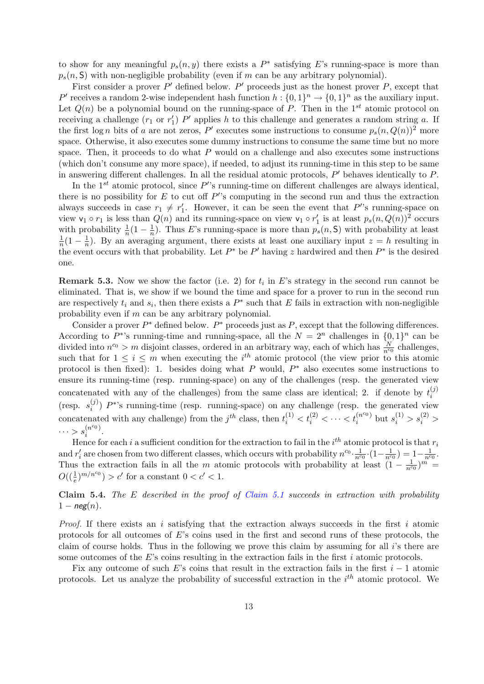<span id="page-13-0"></span>to show for any meaningful  $p_s(n, y)$  there exists a  $P^*$  satisfying E's running-space is more than  $p_s(n, S)$  with non-negligible probability (even if m can be any arbitrary polynomial).

First consider a prover  $P'$  defined below.  $P'$  proceeds just as the honest prover  $P$ , except that P' receives a random 2-wise independent hash function  $h: \{0,1\}^n \to \{0,1\}^n$  as the auxiliary input. Let  $Q(n)$  be a polynomial bound on the running-space of P. Then in the 1<sup>st</sup> atomic protocol on receiving a challenge  $(r_1 \text{ or } r'_1)$   $P'$  applies h to this challenge and generates a random string a. If the first log n bits of a are not zeros, P' executes some instructions to consume  $p_s(n, Q(n))^2$  more space. Otherwise, it also executes some dummy instructions to consume the same time but no more space. Then, it proceeds to do what  $P$  would on a challenge and also executes some instructions (which don't consume any more space), if needed, to adjust its running-time in this step to be same in answering different challenges. In all the residual atomic protocols,  $P'$  behaves identically to  $P$ .

In the  $1^{st}$  atomic protocol, since  $P'$ 's running-time on different challenges are always identical, there is no possibility for  $E$  to cut off  $P'$ 's computing in the second run and thus the extraction always succeeds in case  $r_1 \neq r'_1$ . However, it can be seen the event that P''s running-space on view  $v_1 \circ r_1$  is less than  $Q(n)$  and its running-space on view  $v_1 \circ r_1'$  is at least  $p_s(n, Q(n))^2$  occurs with probability  $\frac{1}{n}(1-\frac{1}{n})$  $\frac{1}{n}$ ). Thus E's running-space is more than  $p_s(n, S)$  with probability at least 1  $\frac{1}{n}(1-\frac{1}{n})$  $\frac{1}{n}$ ). By an averaging argument, there exists at least one auxiliary input  $z = h$  resulting in the event occurs with that probability. Let  $P^*$  be  $P'$  having z hardwired and then  $P^*$  is the desired one.

**Remark 5.3.** Now we show the factor (i.e. 2) for  $t_i$  in E's strategy in the second run cannot be eliminated. That is, we show if we bound the time and space for a prover to run in the second run are respectively  $t_i$  and  $s_i$ , then there exists a  $P^*$  such that E fails in extraction with non-negligible probability even if m can be any arbitrary polynomial.

Consider a prover  $P^*$  defined below.  $P^*$  proceeds just as P, except that the following differences. According to P<sup>\*</sup>'s running-time and running-space, all the  $N = 2^n$  challenges in  $\{0, 1\}^n$  can be divided into  $n^{c_0} > m$  disjoint classes, ordered in an arbitrary way, each of which has  $\frac{N}{n^{c_0}}$  challenges, such that for  $1 \leq i \leq m$  when executing the i<sup>th</sup> atomic protocol (the view prior to this atomic protocol is then fixed): 1. besides doing what P would,  $P^*$  also executes some instructions to ensure its running-time (resp. running-space) on any of the challenges (resp. the generated view concatenated with any of the challenges) from the same class are identical; 2. if denote by  $t_i^{(j)}$ i (resp.  $s_i^{(j)}$  $i^{(j)}$ )  $P^*$ 's running-time (resp. running-space) on any challenge (resp. the generated view concatenated with any challenge) from the  $j^{th}$  class, then  $t_i^{(1)} < t_i^{(2)} < \cdots < t_i^{(n^{c_0})}$  $\binom{n^{c_0}}{i}$  but  $s_i^{(1)} > s_i^{(2)} >$  $\cdots > s_i^{(n^{c_0})}$  $\binom{n\text{-}0}{i}$ .

Hence for each i a sufficient condition for the extraction to fail in the  $i^{th}$  atomic protocol is that  $r_i$ and  $r'_i$  are chosen from two different classes, which occurs with probability  $n^{c_0} \cdot \frac{1}{n^{c}}$  $\frac{1}{n^{c_0}} \cdot (1 - \frac{1}{n^{c}})$  $\frac{1}{n^{c_0}}$ ) =  $1-\frac{1}{n^{c}}$  $\frac{1}{n^{c_0}}.$ Thus the extraction fails in all the m atomic protocols with probability at least  $(1 - \frac{1}{n^c})$  $(\frac{1}{n^{c_0}})^m =$  $O((\frac{1}{e})^{m/n^{c_0}}) > c'$  for a constant  $0 < c' < 1$ .

Claim 5.4. The E described in the proof of Claim 5.1 succeeds in extraction with probability  $1 - neg(n)$ .

*Proof.* If there exists an i satisfying that the extraction always succeeds in the first i atomic protocols for all outcomes of  $E$ 's coins used in [the first a](#page-11-0)nd second runs of these protocols, the claim of course holds. Thus in the following we prove this claim by assuming for all  $i$ 's there are some outcomes of the  $E$ 's coins resulting in the extraction fails in the first i atomic protocols.

Fix any outcome of such E's coins that result in the extraction fails in the first  $i-1$  atomic protocols. Let us analyze the probability of successful extraction in the  $i^{th}$  atomic protocol. We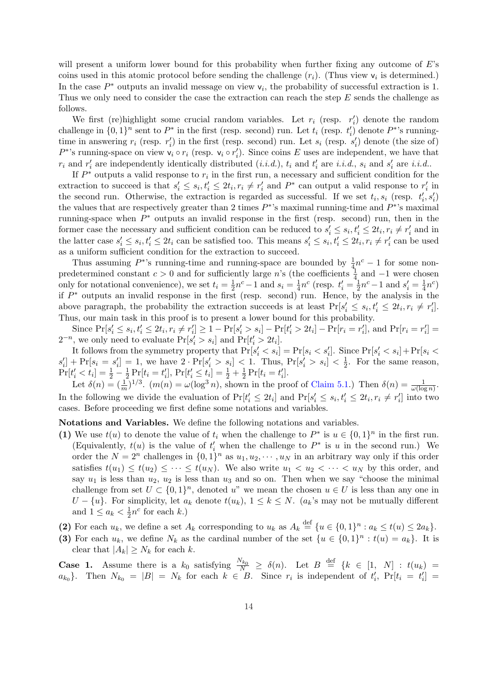will present a uniform lower bound for this probability when further fixing any outcome of E's coins used in this atomic protocol before sending the challenge  $(r_i)$ . (Thus view  $v_i$  is determined.) In the case  $P^*$  outputs an invalid message on view  $v_i$ , the probability of successful extraction is 1. Thus we only need to consider the case the extraction can reach the step  $E$  sends the challenge as follows.

We first (re)highlight some crucial random variables. Let  $r_i$  (resp.  $r'_i$ ) denote the random challenge in  $\{0,1\}^n$  sent to  $P^*$  in the first (resp. second) run. Let  $t_i$  (resp.  $t'_i$ ) denote  $P^*$ 's runningtime in answering  $r_i$  (resp.  $r'_i$ ) in the first (resp. second) run. Let  $s_i$  (resp.  $s'_i$ ) denote (the size of)  $P^*$ 's running-space on view  $v_i \circ r_i$  (resp.  $v_i \circ r'_i$ ). Since coins E uses are independent, we have that  $r_i$  and  $r'_i$  are independently identically distributed  $(i.i.d.), t_i$  and  $t'_i$  are  $i.i.d., s_i$  and  $s'_i$  are  $i.i.d..$ 

If  $P^*$  outputs a valid response to  $r_i$  in the first run, a necessary and sufficient condition for the extraction to succeed is that  $s'_i \leq s_i, t'_i \leq 2t_i, r_i \neq r'_i$  and  $P^*$  can output a valid response to  $r'_i$  in the second run. Otherwise, the extraction is regarded as successful. If we set  $t_i, s_i$  (resp.  $t'_i, s'_i$ ) the values that are respectively greater than 2 times  $P^*$ 's maximal running-time and  $P^*$ 's maximal running-space when  $P^*$  outputs an invalid response in the first (resp. second) run, then in the former case the necessary and sufficient condition can be reduced to  $s'_i \leq s_i, t'_i \leq 2t_i, r_i \neq r'_i$  and in the latter case  $s_i' \leq s_i, t_i' \leq 2t_i$  can be satisfied too. This means  $s_i' \leq s_i, t_i' \leq 2t_i, r_i \neq r_i'$  can be used as a uniform sufficient condition for the extraction to succeed.

Thus assuming  $P^*$ 's running-time and running-space are bounded by  $\frac{1}{4}n^c - 1$  for some nonpredetermined constant  $c > 0$  and for sufficiently large n's (the coefficients  $\frac{1}{4}$  and  $-1$  were chosen only for notational convenience), we set  $t_i = \frac{1}{2}$  $\frac{1}{2}n^c - 1$  and  $s_i = \frac{1}{4}$  $\frac{1}{4}n^c$  (resp.  $t'_i = \frac{1}{2}$  $\frac{1}{2}n^c - 1$  and  $s'_i = \frac{1}{4}$  $\frac{1}{4}n^c$ if  $P^*$  outputs an invalid response in the first (resp. second) run. Hence, by the analysis in the above paragraph, the probability the extraction succeeds is at least  $Pr[s'_i \leq s_i, t'_i \leq 2t_i, r_i \neq r'_i].$ Thus, our main task in this proof is to present a lower bound for this probability.

Since  $Pr[s'_i \le s_i, t'_i \le 2t_i, r_i \ne r'_i] \ge 1 - Pr[s'_i > s_i] - Pr[t'_i > 2t_i] - Pr[r_i = r'_i]$ , and  $Pr[r_i = r'_i] =$  $2^{-n}$ , we only need to evaluate  $Pr[s_i^j > s_i]$  and  $Pr[t_i^j > 2t_i]$ .

It follows from the symmetry property that  $Pr[s'_i < s_i] = Pr[s_i < s'_i]$ . Since  $Pr[s'_i < s_i] + Pr[s_i < s'_i]$  $s'_i$  + Pr[ $s_i = s'_i$ ] = 1, we have  $2 \cdot Pr[s'_i > s_i] < 1$ . Thus,  $Pr[s'_i > s_i] < \frac{1}{2}$  $\frac{1}{2}$ . For the same reason,  $Pr[t'_{i} < t_{i}] = \frac{1}{2} - \frac{1}{2}$  $\frac{1}{2} \Pr[t_i = t'_i], \, \Pr[t'_i \le t_i] = \frac{1}{2} + \frac{1}{2}$  $\frac{1}{2} \Pr[t_i = t'_i].$ 

Let  $\delta(n) = (\frac{1}{m})^{1/3}$ .  $(m(n) = \omega(\log^3 n)$ , shown in the proof of Claim 5.1.) Then  $\delta(n) = \frac{1}{\omega(\log n)}$ . In the following we divide the evaluation of  $Pr[t'_i \leq 2t_i]$  and  $Pr[s'_i \leq s_i, t'_i \leq 2t_i, r_i \neq r'_i]$  into two cases. Before proceeding we first define some notations and variables.

Notations and Variables. We define the following notations a[nd variable](#page-11-0)s.

- (1) We use  $t(u)$  to denote the value of  $t_i$  when the challenge to  $P^*$  is  $u \in \{0,1\}^n$  in the first run. (Equivalently,  $t(u)$  is the value of  $t'_{i}$  when the challenge to  $P^*$  is u in the second run.) We order the  $N = 2^n$  challenges in  $\{0, 1\}^n$  as  $u_1, u_2, \dots, u_N$  in an arbitrary way only if this order satisfies  $t(u_1) \leq t(u_2) \leq \cdots \leq t(u_N)$ . We also write  $u_1 < u_2 < \cdots < u_N$  by this order, and say  $u_1$  is less than  $u_2$ ,  $u_2$  is less than  $u_3$  and so on. Then when we say "choose the minimal" challenge from set  $U \subset \{0,1\}^n$ , denoted u" we mean the chosen  $u \in U$  is less than any one in  $U - \{u\}$ . For simplicity, let  $a_k$  denote  $t(u_k)$ ,  $1 \leq k \leq N$ .  $(a_k$ 's may not be mutually different and  $1 \leq a_k < \frac{1}{2}$  $\frac{1}{2}n^c$  for each  $k$ .)
- (2) For each  $u_k$ , we define a set  $A_k$  corresponding to  $u_k$  as  $A_k \stackrel{\text{def}}{=} \{u \in \{0,1\}^n : a_k \le t(u) \le 2a_k\}.$
- (3) For each  $u_k$ , we define  $N_k$  as the cardinal number of the set  $\{u \in \{0,1\}^n : t(u) = a_k\}$ . It is clear that  $|A_k| \geq N_k$  for each k.

**Case 1.** Assume there is a  $k_0$  satisfying  $\frac{N_{k_0}}{N} \geq \delta(n)$ . Let  $B \stackrel{\text{def}}{=} \{k \in [1, N] : t(u_k) =$  $a_{k_0}$ . Then  $N_{k_0} = |B| = N_k$  for each  $k \in B$ . Since  $r_i$  is independent of  $t'_i$ ,  $Pr[t_i = t'_i] =$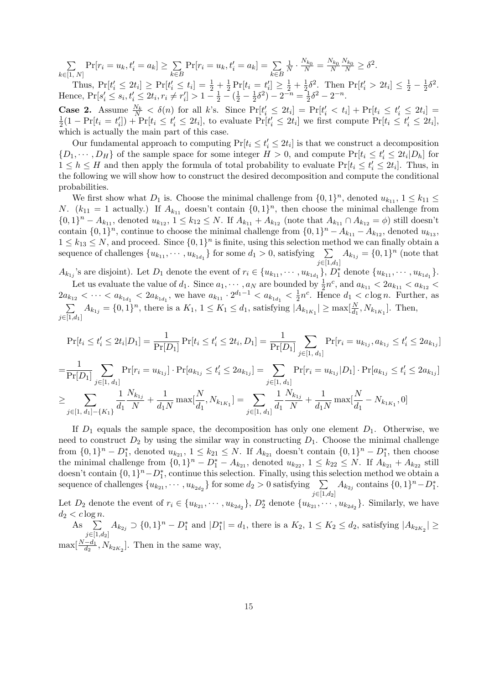$\overline{ }$  $k \in [1, N]$  $Pr[r_i = u_k, t'_i = a_k] \geq$  $\overline{ }$ k∈B  $Pr[r_i = u_k, t'_i = a_k] = \sum_{k \in B}$ 1  $\frac{1}{N} \cdot \frac{N_{k_0}}{N} = \frac{N_{k_0}}{N} \frac{N_{k_0}}{N} \ge \delta^2.$ 

Thus,  $Pr[t'_i \leq 2t_i] \geq Pr[t'_i \leq t_i] = \frac{1}{2} + \frac{1}{2}$  $\frac{1}{2} \Pr[t_i = t'_i] \geq \frac{1}{2} + \frac{1}{2}$  $\frac{1}{2}\delta^2$ . Then  $\Pr[t'_i > 2t_i] \leq \frac{1}{2} - \frac{1}{2}$  $rac{1}{2}\delta^2$ . Hence,  $Pr[s'_i \leq s_i, t'_i \leq 2t_i, r_i \neq r'_i] > 1 - \frac{1}{2} - (\frac{1}{2} - \frac{1}{2})$  $(\frac{1}{2}\delta^2)-2^{-n}=\frac{1}{2}$  $\frac{1}{2}\delta^2 - 2^{-n}$ .

**Case 2.** Assume  $\frac{N_k}{N} < \delta(n)$  for all k's. Since  $\Pr[t'_i \leq 2t_i] = \Pr[t'_i < t_i] + \Pr[t_i \leq t'_i \leq 2t_i] =$ 1  $\frac{1}{2}(1 - \Pr[t_i = t'_i]) + \Pr[t_i \le t'_i \le 2t_i],$  to evaluate  $\Pr[t'_i \le 2t_i]$  we first compute  $\Pr[t_i \le t'_i \le 2t_i],$ which is actually the main part of this case.

Our fundamental approach to computing  $Pr[t_i \leq t'_i \leq 2t_i]$  is that we construct a decomposition  $\{D_1, \dots, D_H\}$  of the sample space for some integer  $H > 0$ , and compute  $\Pr[t_i \le t'_i \le 2t_i | D_h]$  for  $1 \leq h \leq H$  and then apply the formula of total probability to evaluate  $Pr[t_i \leq t'_i \leq 2t_i]$ . Thus, in the following we will show how to construct the desired decomposition and compute the conditional probabilities.

We first show what  $D_1$  is. Choose the minimal challenge from  $\{0,1\}^n$ , denoted  $u_{k_{11}}, 1 \leq k_{11} \leq$ N.  $(k_{11} = 1$  actually.) If  $A_{k_{11}}$  doesn't contain  $\{0, 1\}^n$ , then choose the minimal challenge from  $\{0,1\}^n - A_{k_{11}}$ , denoted  $u_{k_{12}}$ ,  $1 \leq k_{12} \leq N$ . If  $A_{k_{11}} + A_{k_{12}}$  (note that  $A_{k_{11}} \cap A_{k_{12}} = \emptyset$ ) still doesn't contain  $\{0,1\}^n$ , continue to choose the minimal challenge from  $\{0,1\}^n - A_{k_{11}} - A_{k_{12}}$ , denoted  $u_{k_{13}}$ ,  $1 \leq k_{13} \leq N$ , and proceed. Since  $\{0,1\}^n$  is finite, using this selection method we can finally obtain a  $s_1 \geq s_{13} \leq r$ , and proceed. Since  $\{0, 1\}$  is finite, using this selection the sequence of challenges  $\{u_{k_{11}}, \dots, u_{k_{1d_1}}\}$  for some  $d_1 > 0$ , satisfying  $\sum_{i=1}^{n}$  $j \in [1,d_1]$  $A_{k_{1j}} = \{0,1\}^n$  (note that

 $A_{k_{1j}}$ 's are disjoint). Let  $D_1$  denote the event of  $r_i \in \{u_{k_{11}}, \cdots, u_{k_{1d_1}}\}$ ,  $D_1^*$  denote  $\{u_{k_{11}}, \cdots, u_{k_{1d_1}}\}$ . Let us evaluate the value of  $d_1$ . Since  $a_1, \dots, a_N$  are bounded by  $\frac{1}{2}n^c$ , and  $a_{k_{11}} < 2a_{k_{11}} < a_{k_{12}}$ Let us evaluate the value of  $a_1$ . Since  $a_1, \dots, a_N$  are bounded by  $\frac{1}{2}$ <br>  $2a_{k_{12}} < \dots < a_{k_{1d_1}} < 2a_{k_{1d_1}}$ , we have  $a_{k_{11}} \cdot 2^{d_1-1} < a_{k_{1d_1}} < \frac{1}{2}n^c$ . He  $a_{k_{12}} < \cdots < a_{k_{1d_1}} < 2a_{k_{1d_1}},$  we have  $a_{k_{11}} \cdot 2^{d_1-1} < a_{k_{1d_1}} < \frac{1}{2}n^c$ . Hence  $d_1 < c \log n$ . Further, as  $j \in [1,d_1]$  $A_{k_{1j}} = \{0, 1\}^n$ , there is a  $K_1, 1 \leq K_1 \leq d_1$ , satisfying  $|A_{k_{1}K_1}| \geq \max[\frac{N}{d_1}, N_{k_{1}K_1}]$ . Then,

$$
\Pr[t_i \le t_i' \le 2t_i | D_1] = \frac{1}{\Pr[D_1]} \Pr[t_i \le t_i' \le 2t_i, D_1] = \frac{1}{\Pr[D_1]} \sum_{j \in [1, d_1]} \Pr[r_i = u_{k_{1j}}, a_{k_{1j}} \le t_i' \le 2a_{k_{1j}}]
$$

$$
= \frac{1}{\Pr[D_1]} \sum_{j \in [1, d_1]} \Pr[r_i = u_{k_{1j}}] \cdot \Pr[a_{k_{1j}} \le t'_i \le 2a_{k_{1j}}] = \sum_{j \in [1, d_1]} \Pr[r_i = u_{k_{1j}} | D_1] \cdot \Pr[a_{k_{1j}} \le t'_i \le 2a_{k_{1j}}]
$$
  

$$
\ge \sum_{j \in [1, d_1] - \{K_1\}} \frac{1}{d_1} \frac{N_{k_{1j}}}{N} + \frac{1}{d_1 N} \max[\frac{N}{d_1}, N_{k_{1K_1}}] = \sum_{j \in [1, d_1]} \frac{1}{d_1} \frac{N_{k_{1j}}}{N} + \frac{1}{d_1 N} \max[\frac{N}{d_1} - N_{k_{1K_1}}, 0]
$$

If  $D_1$  equals the sample space, the decomposition has only one element  $D_1$ . Otherwise, we need to construct  $D_2$  by using the similar way in constructing  $D_1$ . Choose the minimal challenge from  $\{0,1\}^n - D_1^*$ , denoted  $u_{k_{21}}$ ,  $1 \leq k_{21} \leq N$ . If  $A_{k_{21}}$  doesn't contain  $\{0,1\}^n - D_1^*$ , then choose the minimal challenge from  $\{0,1\}^n - D_1^* - A_{k_2},$  denoted  $u_{k_2}, 1 \leq k_{22} \leq N$ . If  $A_{k_{21}} + A_{k_{22}}$  still doesn't contain  $\{0,1\}^n - D_1^*$ , continue this selection. Finally, using this selection method we obtain a sequence of challenges  $\{u_{k_{21}}, \dots, u_{k_{2d_2}}\}$  for some  $d_2 > 0$  satisfying  $\sum_{k=1}^{n}$  $j∈[1,d<sub>2</sub>]$  $A_{k_{2j}}$  contains  $\{0,1\}^n - D_1^*$ . Let  $D_2$  denote the event of  $r_i \in \{u_{k_{21}}, \dots, u_{k_{2d_2}}\}$ ,  $D_2^*$  denote  $\{u_{k_{21}}, \dots, u_{k_{2d_2}}\}$ . Similarly, we have  $d_2 < c \log n$ .

 $\begin{matrix} 1 & c & \csc n \\ \csc n & \csc n \end{matrix}$  $j\in[1,d_2]$  $A_{k_{2j}} \supset \{0,1\}^n - D_1^*$  and  $|D_1^*| = d_1$ , there is a  $K_2$ ,  $1 \leq K_2 \leq d_2$ , satisfying  $|A_{k_{2K_2}}| \geq$  $\max[\frac{N-d_1}{d_2}, N_{k_{2K_2}}]$ . Then in the same way,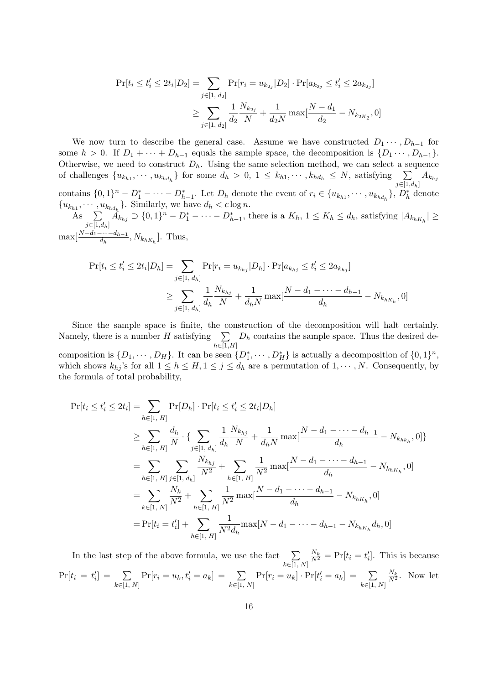$$
\Pr[t_i \le t'_i \le 2t_i | D_2] = \sum_{j \in [1, d_2]} \Pr[r_i = u_{k_{2j}} | D_2] \cdot \Pr[a_{k_{2j}} \le t'_i \le 2a_{k_{2j}}]
$$

$$
\ge \sum_{j \in [1, d_2]} \frac{1}{d_2} \frac{N_{k_{2j}}}{N} + \frac{1}{d_2 N} \max[\frac{N - d_1}{d_2} - N_{k_{2K_2}}, 0]
$$

We now turn to describe the general case. Assume we have constructed  $D_1 \cdots, D_{h-1}$  for some  $h > 0$ . If  $D_1 + \cdots + D_{h-1}$  equals the sample space, the decomposition is  $\{D_1 \cdots, D_{h-1}\}.$ Otherwise, we need to construct  $D_h$ . Using the same selection method, we can select a sequence Otherwise, we need to construct  $D_h$ . Osing the same selection method, we can select a set of challenges  $\{u_{k_{h1}}, \dots, u_{k_{h}d_h}\}$  for some  $d_h > 0, 1 \leq k_{h1}, \dots, k_{hd_h} \leq N$ , satisfying  $\sum_{i=1}^h$  $j \in [1,d_h]$  $A_{k_{hj}}$ contains  $\{0,1\}^n - D_1^* - \cdots - D_{h-1}^*$ . Let  $D_h$  denote the event of  $r_i \in \{u_{k_{h1}}, \cdots, u_{k_{hd_h}}\}, D_h^*$  denote  ${u_{k_{h1}}, \dots, u_{k_{h}d_h}}$ . Similarly, we have  $d_h < c \log n$ .<br>As  $\sum_{l=1}^s A_{k_{hj}} \supset \{0, 1\}^n - D_1^* - \dots - D_{h-1}^*$ , there is a  $K_h$ ,  $1 \le K_h \le d_h$ , satisfying  $|A_{k_{hK_h}}| \ge$ 

 $j \in [1,d_h]$  $\max[\frac{N-d_1-\cdots-d_{h-1}}{d_h}, N_{k_{hK_h}}].$  Thus,

$$
\Pr[t_i \le t'_i \le 2t_i | D_h] = \sum_{j \in [1, d_h]} \Pr[r_i = u_{k_{hj}} | D_h] \cdot \Pr[a_{k_{hj}} \le t'_i \le 2a_{k_{hj}}]
$$

$$
\ge \sum_{j \in [1, d_h]} \frac{1}{d_h} \frac{N_{k_{hj}}}{N} + \frac{1}{d_h N} \max[\frac{N - d_1 - \dots - d_{h-1}}{d_h} - N_{k_{hK_h}}, 0]
$$

Since the sample space is finite, the construction of the decomposition will halt certainly. Since the sample space is initially, there is a number  $H$  satisfying  $\sum$  $h \in [1, H]$  $D_h$  contains the sample space. Thus the desired decomposition is  $\{D_1, \dots, D_H\}$ . It can be seen  $\{D_1^*, \dots, D_H^*\}$  is actually a decomposition of  $\{0, 1\}^n$ , which shows  $k_{hj}$ 's for all  $1 \le h \le H, 1 \le j \le d_h$  are a permutation of  $1, \dots, N$ . Consequently, by the formula of total probability,

$$
\Pr[t_i \le t_i' \le 2t_i] = \sum_{h \in [1, H]} \Pr[D_h] \cdot \Pr[t_i \le t_i' \le 2t_i | D_h]
$$
  
\n
$$
\ge \sum_{h \in [1, H]} \frac{d_h}{N} \cdot \left\{ \sum_{j \in [1, d_h]} \frac{1}{d_h} \frac{N_{k_{hj}}}{N} + \frac{1}{d_h N} \max[\frac{N - d_1 - \dots - d_{h-1}}{d_h} - N_{k_{hk_h}}, 0] \right\}
$$
  
\n
$$
= \sum_{h \in [1, H]} \sum_{j \in [1, d_h]} \frac{N_{k_{hj}}}{N^2} + \sum_{h \in [1, H]} \frac{1}{N^2} \max[\frac{N - d_1 - \dots - d_{h-1}}{d_h} - N_{k_{hK_h}}, 0]
$$
  
\n
$$
= \sum_{k \in [1, N]} \frac{N_k}{N^2} + \sum_{h \in [1, H]} \frac{1}{N^2} \max[\frac{N - d_1 - \dots - d_{h-1}}{d_h} - N_{k_{hK_h}}, 0]
$$
  
\n
$$
= \Pr[t_i = t_i'] + \sum_{h \in [1, H]} \frac{1}{N^2 d_h} \max[N - d_1 - \dots - d_{h-1} - N_{k_{hK_h}} d_h, 0]
$$

In the last step of the above formula, we use the fact  $\sum$  $k \in [1, N]$  $\frac{N_k}{N^2} = \Pr[t_i = t'_i].$  This is because  $Pr[t_i = t'_i] = \sum$  $k \in [1, N]$  $Pr[r_i = u_k, t'_i = a_k] = \sum_{k \in [1, N]}$  $Pr[r_i = u_k] \cdot Pr[t'_i = a_k] = \sum_{k \in [1, N]}$  $\frac{N_k}{N^2}$ . Now let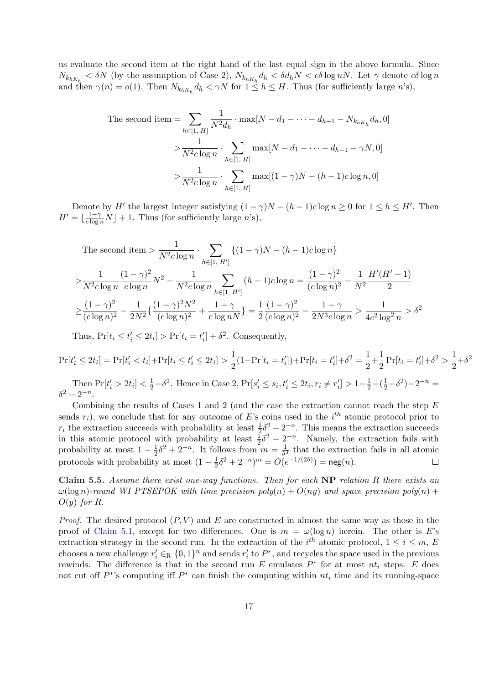<span id="page-17-0"></span>us evaluate the second item at the right hand of the last equal sign in the above formula. Since  $N_{k_{hK_h}} < \delta N$  (by the assumption of Case 2),  $N_{k_{hK_h}} d_h < \delta d_h N < c \delta \log nN$ . Let  $\gamma$  denote  $c \delta \log n$ and then  $\gamma(n) = o(1)$ . Then  $N_{k_{hK_h}} d_h < \gamma N$  for  $1 \leq h \leq H$ . Thus (for sufficiently large *n*'s),

The second item = 
$$
\sum_{h \in [1, H]} \frac{1}{N^2 d_h} \cdot \max[N - d_1 - \dots - d_{h-1} - N_{k_{hK_h}} d_h, 0]
$$

$$
> \frac{1}{N^2 c \log n} \cdot \sum_{h \in [1, H]} \max[N - d_1 - \dots - d_{h-1} - \gamma N, 0]
$$

$$
> \frac{1}{N^2 c \log n} \cdot \sum_{h \in [1, H]} \max[(1 - \gamma)N - (h - 1)c \log n, 0]
$$

Denote by H<sup>t</sup> the largest integer satisfying  $(1 - \gamma)N - (h - 1)c \log n \ge 0$  for  $1 \le h \le H'$ . Then  $H' = \lfloor \frac{1-\gamma}{c \log n} N \rfloor + 1$ . Thus (for sufficiently large *n*'s),

The second item 
$$
> \frac{1}{N^2c \log n} \cdot \sum_{h \in [1, H']} \{(1 - \gamma)N - (h - 1)c \log n\}
$$
  
 $> \frac{1}{N^2c \log n} \frac{(1 - \gamma)^2}{c \log n} N^2 - \frac{1}{N^2c \log n} \sum_{h \in [1, H']} (h - 1)c \log n = \frac{(1 - \gamma)^2}{(c \log n)^2} - \frac{1}{N^2} \frac{H'(H' - 1)}{2}$   
 $\geq \frac{(1 - \gamma)^2}{(c \log n)^2} - \frac{1}{2N^2} \{\frac{(1 - \gamma)^2 N^2}{(c \log n)^2} + \frac{1 - \gamma}{c \log n N}\} = \frac{1}{2} \frac{(1 - \gamma)^2}{(c \log n)^2} - \frac{1 - \gamma}{2N^3c \log n} > \frac{1}{4c^2 \log^2 n} > \delta^2$ 

Thus,  $Pr[t_i \le t'_i \le 2t_i] > Pr[t_i = t'_i] + \delta^2$ . Consequently,

$$
\Pr[t'_i \le 2t_i] = \Pr[t'_i < t_i] + \Pr[t_i \le t'_i \le 2t_i] > \frac{1}{2}(1 - \Pr[t_i = t'_i]) + \Pr[t_i = t'_i] + \delta^2 = \frac{1}{2} + \frac{1}{2}\Pr[t_i = t'_i] + \delta^2 > \frac{1}{2} + \delta^2
$$

Then  $Pr[t'_i > 2t_i] < \frac{1}{2} - \delta^2$ . Hence in Case 2,  $Pr[s'_i \leq s_i, t'_i \leq 2t_i, r_i \neq r'_i] > 1 - \frac{1}{2} - (\frac{1}{2} - \delta^2) - 2^{-n} =$  $\delta^2 - 2^{-n}$ .

Combining the results of Cases 1 and 2 (and the case the extraction cannot reach the step E sends  $r_i$ ), we conclude that for any outcome of E's coins used in the  $i<sup>th</sup>$  atomic protocol prior to  $r_i$  the extraction succeeds with probability at least  $\frac{1}{2}\delta^2 - 2^{-n}$ . This means the extraction succeeds in this atomic protocol with probability at least  $\frac{1}{2}\delta^2 - 2^{-n}$ . Namely, the extraction fails with probability at most  $1-\frac{1}{2}$  $\frac{1}{2}\delta^2 + 2^{-n}$ . It follows from  $m = \frac{1}{\delta^2}$  $\frac{1}{\delta^3}$  that the extraction fails in all atomic protocols with probability at most  $(1 - \frac{1}{2})$  $\frac{1}{2}\delta^2 + 2^{-n})^m = O(e^{-1/(2\delta)}) = \textsf{neg}(n).$  $\Box$ 

Claim 5.5. Assume there exist one-way functions. Then for each  $NP$  relation R there exists an  $\omega(\log n)$ -round WI PTSEPOK with time precision  $poly(n) + O(ny)$  and space precision  $poly(n)$  +  $O(y)$  for R.

*Proof.* The desired protocol  $(P, V)$  and E are constructed in almost the same way as those in the proof of Claim 5.1, except for two differences. One is  $m = \omega(\log n)$  herein. The other is E's extraction strategy in the second run. In the extraction of the  $i^{th}$  atomic protocol,  $1 \leq i \leq m$ , E chooses a new challenge  $r'_i \in_R \{0,1\}^n$  and sends  $r'_i$  to  $P^*$ , and recycles the space used in the previous rewinds. The difference is that in the second run E emulates  $P^*$  for at most  $nt_i$  steps. E does not cut off  $P^*$ ['s com](#page-11-0)puting iff  $P^*$  can finish the computing within  $nt_i$  time and its running-space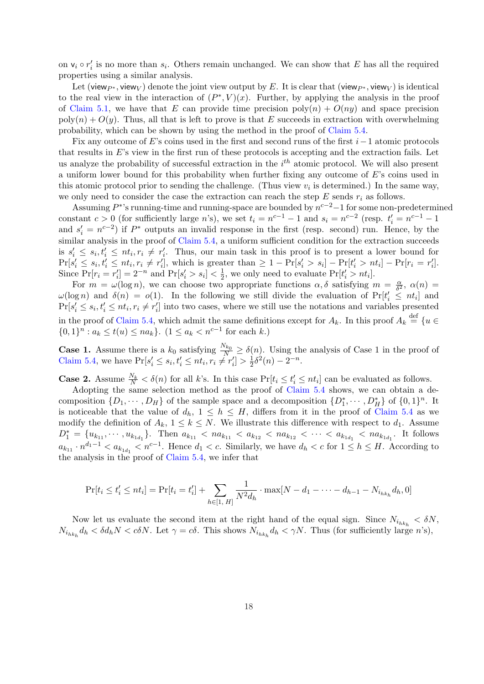on  $v_i \circ r'_i$  is no more than  $s_i$ . Others remain unchanged. We can show that E has all the required properties using a similar analysis.

Let (view<sub>P<sup>∗</sub></sup>, view<sub>V</sub>) denote the joint view output by E. It is clear that (view<sub>P<sup>∗</sub></sup>, view<sub>V</sub>) is identical</sub></sub> to the real view in the interaction of  $(P^*, V)(x)$ . Further, by applying the analysis in the proof of Claim 5.1, we have that E can provide time precision  $\text{poly}(n) + O(ny)$  and space precision  $poly(n) + O(y)$ . Thus, all that is left to prove is that E succeeds in extraction with overwhelming probability, which can be shown by using the method in the proof of Claim 5.4.

Fix any outcome of E's coins used in the first and second runs of the first  $i-1$  atomic protocols th[at results in](#page-11-0) E's view in the first run of these protocols is accepting and the extraction fails. Let us analyze the probability of successful extraction in the  $i^{th}$  atomic protocol. We will also present a uniform lower bound for this probability when further fixing any [outcome of](#page-13-0) E's coins used in this atomic protocol prior to sending the challenge. (Thus view  $v_i$  is determined.) In the same way, we only need to consider the case the extraction can reach the step  $E$  sends  $r_i$  as follows.

Assuming  $P^*$ 's running-time and running-space are bounded by  $n^{c-2}-1$  for some non-predetermined constant  $c > 0$  (for sufficiently large n's), we set  $t_i = n^{c-1} - 1$  and  $s_i = n^{c-2}$  (resp.  $t'_i = n^{c-1} - 1$ and  $s_i' = n^{c-2}$  if  $P^*$  outputs an invalid response in the first (resp. second) run. Hence, by the similar analysis in the proof of Claim 5.4, a uniform sufficient condition for the extraction succeeds is  $s_i' \leq s_i, t_i' \leq nt_i, r_i \neq r_i'$ . Thus, our main task in this proof is to present a lower bound for  $Pr[s'_i \leq s_i, t'_i \leq nt_i, r_i \neq r'_i],$  which is greater than  $\geq 1 - Pr[s'_i > s_i] - Pr[t'_i > nt_i] - Pr[r_i = r'_i].$ Since  $Pr[r_i = r'_i] = 2^{-n}$  and  $Pr[s'_i > s_i] < \frac{1}{2}$  $\frac{1}{2}$ , we only need to evaluate  $Pr[t'_i > nt_i]$ .

For  $m = \omega(\log n)$ , we can [choose tw](#page-13-0)o appropriate functions  $\alpha, \delta$  satisfying  $m = \frac{\alpha}{\delta^2}$  $\frac{\alpha}{\delta^2}$ ,  $\alpha(n)$  =  $\omega(\log n)$  and  $\delta(n) = o(1)$ . In the following we still divide the evaluation of  $Pr[t'_i \leq nt_i]$  and  $Pr[s'_i \leq s_i, t'_i \leq nt_i, r_i \neq r'_i]$  into two cases, where we still use the notations and variables presented in the proof of Claim 5.4, which admit the same definitions except for  $A_k$ . In this proof  $A_k \stackrel{\text{def}}{=} \{u \in$  $\{0,1\}^n : a_k \le t(u) \le n a_k$ .  $(1 \le a_k < n^{c-1}$  for each k.)

**Case 1.** Assume there is a  $k_0$  satisfying  $\frac{N_{k_0}}{N} \ge \delta(n)$ . Using the analysis of Case 1 in the proof of Claim 5.4, we have  $\Pr[s'_i \leq s_i, t'_i \leq nt_i, r_i \neq r'_i] > \frac{1}{2}$  $\frac{1}{2}\delta^2(n) - 2^{-n}.$ 

**Case 2.** Assume  $\frac{N_k}{N} < \delta(n)$  for all k's. In this case  $Pr[t_i \le t'_i \le nt_i]$  can be evaluated as follows.

Adopting the same selection method as the proof of Claim 5.4 shows, we can obtain a de[compositio](#page-13-0)n  $\{D_1, \dots, D_H\}$  of the sample space and a decomposition  $\{D_1^*, \dots, D_H^*\}$  of  $\{0, 1\}^n$ . It is noticeable that the value of  $d_h$ ,  $1 \leq h \leq H$ , differs from it in the proof of Claim 5.4 as we modify the definition of  $A_k$ ,  $1 \leq k \leq N$ . We illustrate this difference with respect to  $d_1$ . Assume  $D_1^* = \{u_{k_{11}}, \dots, u_{k_{1d_1}}\}$ . Then  $a_{k_{11}} < na_{k_{11}} < a_{k_{12}} < na_{k_{12}} < \dots < a_{k_{1d_1}} < na_{k_{1d_1}}$ . It follows  $a_{k_{11}} \cdot n^{d_1-1} < a_{k_{1}d_1} < n^{c-1}$ . Hence  $d_1 < c$ . Similarly, we have  $d_h < c$  for  $1 \leq h \leq H$ [. Accord](#page-13-0)ing to the analysis in the proof of Claim 5.4, we infer that

$$
\Pr[t_i \le t_i' \le nt_i] = \Pr[t_i = t_i'] + \sum_{h \in [1, H]} \frac{1}{N^2 d_h} \cdot \max[N - d_1 - \dots - d_{h-1} - N_{i_{hk_h}} d_h, 0]
$$

Now let us evaluate the second item at the right hand of the equal sign. Since  $N_{i_{hk_h}} < \delta N$ ,  $N_{i_{hk_h}}d_h < \delta d_h N < c\delta N$ . Let  $\gamma = c\delta$ . This shows  $N_{i_{hk_h}}d_h < \gamma N$ . Thus (for sufficiently large *n*'s),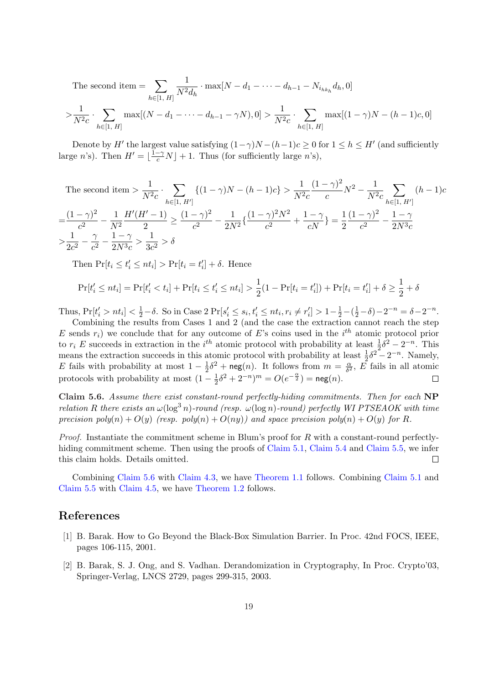<span id="page-19-0"></span>The second item = 
$$
\sum_{h \in [1, H]} \frac{1}{N^2 d_h} \cdot \max[N - d_1 - \dots - d_{h-1} - N_{i_{hk}} d_h, 0]
$$

$$
> \frac{1}{N^2 c} \cdot \sum_{h \in [1, H]} \max[(N - d_1 - \dots - d_{h-1} - \gamma N), 0] > \frac{1}{N^2 c} \cdot \sum_{h \in [1, H]} \max[(1 - \gamma)N - (h - 1)c, 0]
$$

Denote by H' the largest value satisfying  $(1-\gamma)N-(h-1)c \geq 0$  for  $1 \leq h \leq H'$  (and sufficiently large *n*'s). Then  $H' = \lfloor \frac{\overline{1} - \gamma}{c} N \rfloor + 1$ . Thus (for sufficiently large *n*'s),

The second item > 
$$
\frac{1}{N^2c}
$$
  $\cdot$   $\sum_{h \in [1, H']} \{(1 - \gamma)N - (h - 1)c\} > \frac{1}{N^2c} \frac{(1 - \gamma)^2}{c} N^2 - \frac{1}{N^2c} \sum_{h \in [1, H']} (h - 1)c$   
\n
$$
= \frac{(1 - \gamma)^2}{c^2} - \frac{1}{N^2} \frac{H'(H' - 1)}{2} \ge \frac{(1 - \gamma)^2}{c^2} - \frac{1}{2N^2} \{\frac{(1 - \gamma)^2 N^2}{c^2} + \frac{1 - \gamma}{cN} \} = \frac{1}{2} \frac{(1 - \gamma)^2}{c^2} - \frac{1 - \gamma}{2N^3c}
$$
\n
$$
> \frac{1}{2c^2} - \frac{\gamma}{c^2} - \frac{1 - \gamma}{2N^3c} > \frac{1}{3c^2} > \delta
$$

Then  $Pr[t_i \le t'_i \le nt_i] > Pr[t_i = t'_i] + \delta$ . Hence

$$
\Pr[t'_i \le nt_i] = \Pr[t'_i < t_i] + \Pr[t_i \le t'_i \le nt_i] > \frac{1}{2}(1 - \Pr[t_i = t'_i]) + \Pr[t_i = t'_i] + \delta \ge \frac{1}{2} + \delta
$$

Thus,  $Pr[t'_i > nt_i] < \frac{1}{2} - \delta$ . So in Case  $2 Pr[s'_i \leq s_i, t'_i \leq nt_i, r_i \neq r'_i] > 1 - \frac{1}{2} - (\frac{1}{2} - \delta) - 2^{-n} = \delta - 2^{-n}$ .

Combining the results from Cases 1 and 2 (and the case the extraction cannot reach the step E sends  $r_i$ ) we conclude that for any outcome of E's coins used in the i<sup>th</sup> atomic protocol prior to  $r_i E$  succeeds in extraction in the i<sup>th</sup> atomic protocol with probability at least  $\frac{1}{2}\delta^2 - 2^{-n}$ . This means the extraction succeeds in this atomic protocol with probability at least  $\frac{1}{2}\delta^2 - 2^{-n}$ . Namely, E fails with probability at most  $1-\frac{1}{2}$  $\frac{1}{2}\delta^2$  + neg(n). It follows from  $m = \frac{\alpha}{\delta^2}$  $\frac{\alpha}{\delta^2}$ , *E* fails in all atomic  $\frac{1}{2}\delta^2 + 2^{-n})^m = O(e^{-\frac{\alpha}{2}}) = \text{neg}(n).$ protocols with probability at most  $(1 - \frac{1}{2})$  $\Box$ 

Claim 5.6. Assume there exist constant-round perfectly-hiding commitments. Then for each NP relation R there exists an  $\omega(\log^3 n)$ -round (resp.  $\omega(\log n)$ -round) perfectly WI PTSEAOK with time precision  $poly(n) + O(y)$  (resp.  $poly(n) + O(ny)$ ) and space precision  $poly(n) + O(y)$  for R.

*Proof.* Instantiate the commitment scheme in Blum's proof for  $R$  with a constant-round perfectlyhiding commitment scheme. Then using the proofs of Claim 5.1, Claim 5.4 and Claim 5.5, we infer this claim holds. Details omitted.  $\Box$ 

Combining Claim 5.6 with Claim 4.3, we have Theorem 1.1 follows. Combining Claim 5.1 and Claim 5.5 with Claim 4.5, we have Theorem 1.2 follo[ws.](#page-11-0)

# References

- [1] [B. Ba](#page-17-0)rak. [How to Go](#page-10-0) Beyond [the Black-Box](#page-3-0) Simulation Barrier. In Proc. 42nd FOCS, IEEE, pages 106-115, 2001.
- [2] B. Barak, S. J. Ong, and S. Vadhan. Derandomization in Cryptography, In Proc. Crypto'03, Springer-Verlag, LNCS 2729, pages 299-315, 2003.